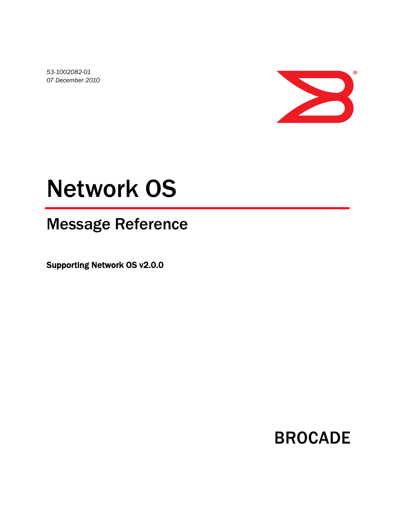*53-1002082-01 07 December 2010*



# Network OS

# Message Reference

Supporting Network OS v2.0.0

# **BROCADE**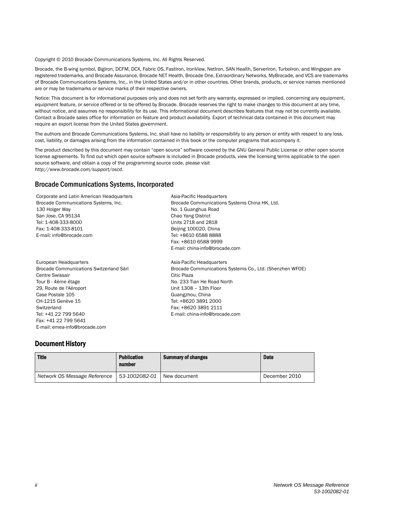Copyright © 2010 Brocade Communications Systems, Inc. All Rights Reserved.

Brocade, the B-wing symbol, BigIron, DCFM, DCX, Fabric OS, FastIron, IronView, NetIron, SAN Health, ServerIron, TurboIron, and Wingspan are registered trademarks, and Brocade Assurance, Brocade NET Health, Brocade One, Extraordinary Networks, MyBrocade, and VCS are trademarks of Brocade Communications Systems, Inc., in the United States and/or in other countries. Other brands, products, or service names mentioned are or may be trademarks or service marks of their respective owners.

Notice: This document is for informational purposes only and does not set forth any warranty, expressed or implied, concerning any equipment, equipment feature, or service offered or to be offered by Brocade. Brocade reserves the right to make changes to this document at any time, without notice, and assumes no responsibility for its use. This informational document describes features that may not be currently available. Contact a Brocade sales office for information on feature and product availability. Export of technical data contained in this document may require an export license from the United States government.

The authors and Brocade Communications Systems, Inc. shall have no liability or responsibility to any person or entity with respect to any loss, cost, liability, or damages arising from the information contained in this book or the computer programs that accompany it.

The product described by this document may contain "open source" software covered by the GNU General Public License or other open source license agreements. To find out which open source software is included in Brocade products, view the licensing terms applicable to the open source software, and obtain a copy of the programming source code, please visit *http://www.brocade.com/support/oscd*.

#### Brocade Communications Systems, Incorporated

Corporate and Latin American Headquarters Brocade Communications Systems, Inc. 130 Holger Way San Jose, CA 95134 Tel: 1-408-333-8000 Fax: 1-408-333-8101 E-mail: info@brocade.com

European Headquarters Brocade Communications Switzerland Sàrl Centre Swissair Tour B - 4ème étage 29, Route de l'Aéroport Case Postale 105 CH-1215 Genève 15 **Switzerland** Tel: +41 22 799 5640 Fax: +41 22 799 5641 E-mail: emea-info@brocade.com

Asia-Pacific Headquarters Brocade Communications Systems China HK, Ltd. No. 1 Guanghua Road Chao Yang District Units 2718 and 2818 Beijing 100020, China Tel: +8610 6588 8888 Fax: +8610 6588 9999 E-mail: china-info@brocade.com

Asia-Pacific Headquarters Brocade Communications Systems Co., Ltd. (Shenzhen WFOE) Citic Plaza No. 233 Tian He Road North Unit 1308 – 13th Floor Guangzhou, China Tel: +8620 3891 2000 Fax: +8620 3891 2111 E-mail: china-info@brocade.com

#### Document History

| <b>Title</b>                 | <b>Publication</b><br>number | <b>Summary of changes</b> | <b>Date</b>   |
|------------------------------|------------------------------|---------------------------|---------------|
| Network OS Message Reference | 53-1002082-01                | New document              | December 2010 |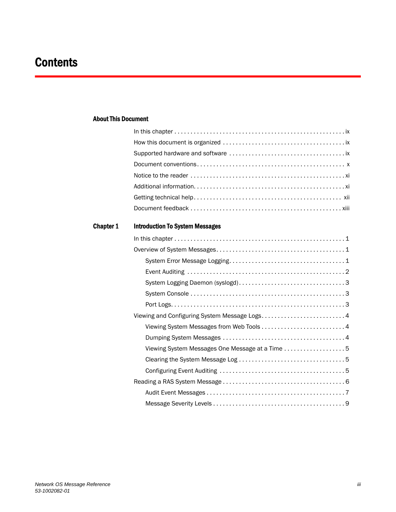# **Contents**

#### [About This Document](#page-8-0)

| <b>Chapter 1</b> | <b>Introduction To System Messages</b>          |
|------------------|-------------------------------------------------|
|                  |                                                 |
|                  |                                                 |
|                  |                                                 |
|                  |                                                 |
|                  |                                                 |
|                  |                                                 |
|                  |                                                 |
|                  |                                                 |
|                  |                                                 |
|                  |                                                 |
|                  | Viewing System Messages One Message at a Time 5 |
|                  |                                                 |
|                  |                                                 |
|                  |                                                 |
|                  |                                                 |
|                  |                                                 |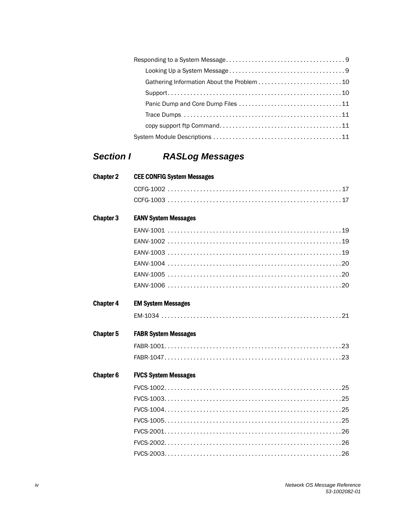#### **Section I RASLog Messages**

| <b>Chapter 2</b> | <b>CEE CONFIG System Messages</b> |
|------------------|-----------------------------------|
|                  |                                   |
|                  |                                   |
| <b>Chapter 3</b> | <b>EANV System Messages</b>       |
|                  |                                   |
|                  |                                   |
|                  |                                   |
|                  |                                   |
|                  |                                   |
|                  |                                   |
| <b>Chapter 4</b> | <b>EM System Messages</b>         |
|                  |                                   |
| <b>Chapter 5</b> | <b>FABR System Messages</b>       |
|                  |                                   |
|                  |                                   |
| <b>Chapter 6</b> | <b>FVCS System Messages</b>       |
|                  |                                   |
|                  |                                   |
|                  | $FVCS-1004$                       |
|                  |                                   |
|                  |                                   |
|                  |                                   |
|                  |                                   |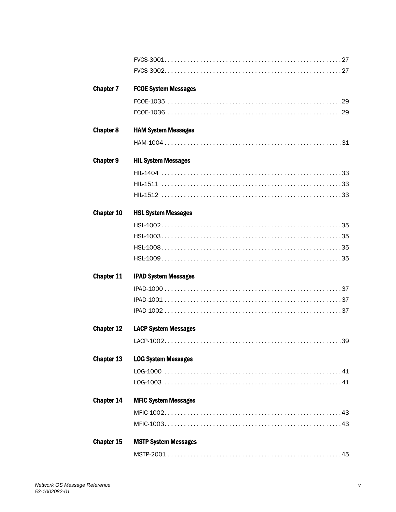| <b>Chapter 7</b>  | <b>FCOE System Messages</b> |
|-------------------|-----------------------------|
|                   |                             |
|                   |                             |
| <b>Chapter 8</b>  | <b>HAM System Messages</b>  |
|                   |                             |
| <b>Chapter 9</b>  | <b>HIL System Messages</b>  |
|                   |                             |
|                   |                             |
|                   |                             |
| <b>Chapter 10</b> | <b>HSL System Messages</b>  |
|                   |                             |
|                   |                             |
|                   |                             |
|                   |                             |
| <b>Chapter 11</b> | <b>IPAD System Messages</b> |
|                   |                             |
|                   |                             |
| <b>Chapter 12</b> | <b>LACP System Messages</b> |
|                   |                             |
|                   |                             |
| <b>Chapter 13</b> | <b>LOG System Messages</b>  |
|                   |                             |
|                   |                             |
| <b>Chapter 14</b> | <b>MFIC System Messages</b> |
|                   |                             |
|                   |                             |
| <b>Chapter 15</b> | <b>MSTP System Messages</b> |
|                   |                             |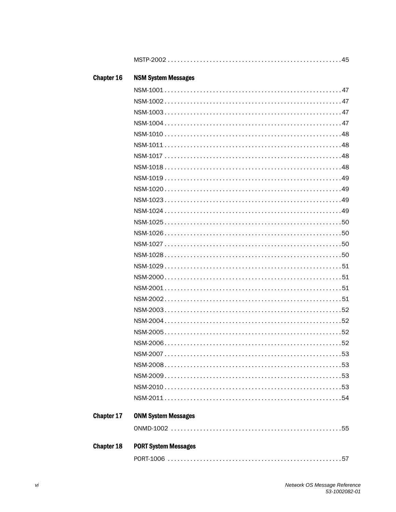|--|

| <b>Chapter 16</b> | <b>NSM System Messages</b>  |
|-------------------|-----------------------------|
|                   | $NSM-1001$                  |
|                   |                             |
|                   | $NSM-1003$                  |
|                   |                             |
|                   |                             |
|                   |                             |
|                   |                             |
|                   |                             |
|                   |                             |
|                   |                             |
|                   |                             |
|                   |                             |
|                   |                             |
|                   | $NSM-1026$                  |
|                   |                             |
|                   |                             |
|                   |                             |
|                   |                             |
|                   |                             |
|                   |                             |
|                   |                             |
|                   |                             |
|                   |                             |
|                   | $NSM-2006$                  |
|                   |                             |
|                   | $NSM-2008$                  |
|                   | $NSM-2009$                  |
|                   |                             |
|                   |                             |
| <b>Chapter 17</b> | <b>ONM System Messages</b>  |
|                   |                             |
| <b>Chapter 18</b> | <b>PORT System Messages</b> |
|                   |                             |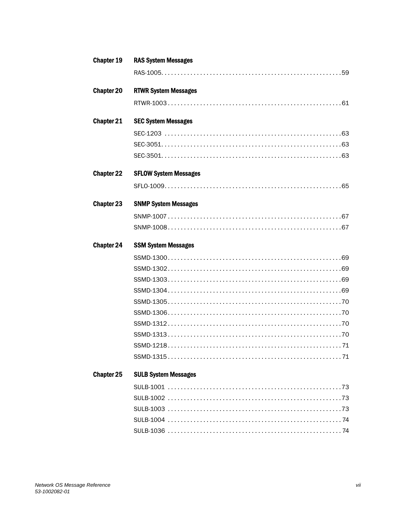| <b>Chapter 19</b> | <b>RAS System Messages</b>   |
|-------------------|------------------------------|
|                   |                              |
| <b>Chapter 20</b> | <b>RTWR System Messages</b>  |
|                   |                              |
| <b>Chapter 21</b> | <b>SEC System Messages</b>   |
|                   |                              |
|                   |                              |
|                   |                              |
| <b>Chapter 22</b> | <b>SFLOW System Messages</b> |
|                   |                              |
| <b>Chapter 23</b> | <b>SNMP System Messages</b>  |
|                   |                              |
|                   |                              |
| <b>Chapter 24</b> | <b>SSM System Messages</b>   |
|                   |                              |
|                   |                              |
|                   |                              |
|                   |                              |
|                   |                              |
|                   |                              |
|                   | $SSMD-1312$                  |
|                   |                              |
|                   |                              |
|                   |                              |
| <b>Chapter 25</b> | <b>SULB System Messages</b>  |
|                   |                              |
|                   |                              |
|                   |                              |
|                   |                              |
|                   |                              |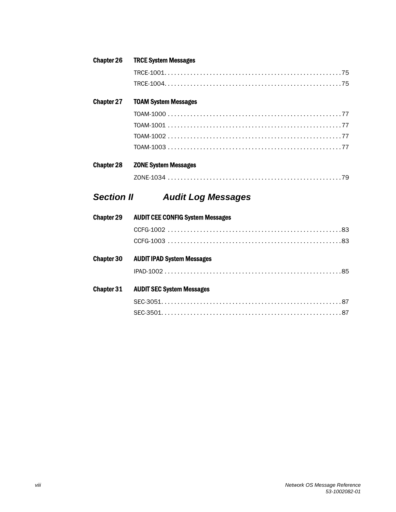| <b>Chapter 26</b> | <b>TRCE System Messages</b>             |
|-------------------|-----------------------------------------|
|                   |                                         |
|                   |                                         |
| <b>Chapter 27</b> | <b>TOAM System Messages</b>             |
|                   |                                         |
|                   |                                         |
|                   |                                         |
|                   |                                         |
| <b>Chapter 28</b> | <b>ZONE System Messages</b>             |
|                   |                                         |
|                   |                                         |
| <b>Section II</b> | <b>Audit Log Messages</b>               |
| <b>Chapter 29</b> | <b>AUDIT CEE CONFIG System Messages</b> |
|                   |                                         |
|                   |                                         |
| <b>Chapter 30</b> | <b>AUDIT IPAD System Messages</b>       |
|                   |                                         |
| <b>Chapter 31</b> | <b>AUDIT SEC System Messages</b>        |
|                   |                                         |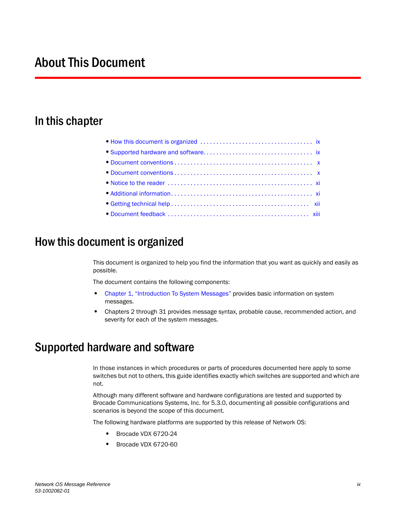# <span id="page-8-1"></span><span id="page-8-0"></span>In this chapter

# <span id="page-8-2"></span>How this document is organized

This document is organized to help you find the information that you want as quickly and easily as possible.

The document contains the following components:

- [Chapter 1, "Introduction To System Messages"](#page-14-4) provides basic information on system messages.
- Chapters 2 through 31 provides message syntax, probable cause, recommended action, and severity for each of the system messages.

# <span id="page-8-3"></span>Supported hardware and software

In those instances in which procedures or parts of procedures documented here apply to some switches but not to others, this guide identifies exactly which switches are supported and which are not.

Although many different software and hardware configurations are tested and supported by Brocade Communications Systems, Inc. for 5.3.0, documenting all possible configurations and scenarios is beyond the scope of this document.

The following hardware platforms are supported by this release of Network OS:

- Brocade VDX 6720-24
- Brocade VDX 6720-60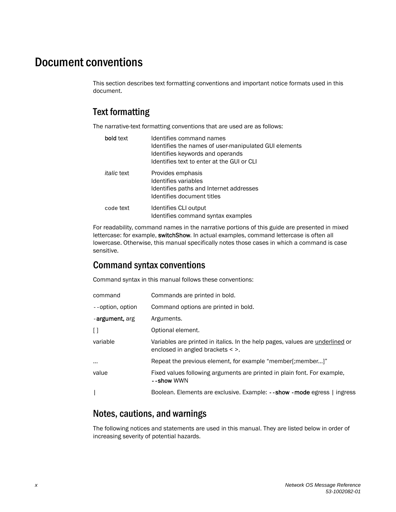## <span id="page-9-0"></span>Document conventions

This section describes text formatting conventions and important notice formats used in this document.

### Text formatting

The narrative-text formatting conventions that are used are as follows:

| <b>bold</b> text   | Identifies command names<br>Identifies the names of user-manipulated GUI elements<br>Identifies keywords and operands<br>Identifies text to enter at the GUI or CLI |
|--------------------|---------------------------------------------------------------------------------------------------------------------------------------------------------------------|
| <i>italic</i> text | Provides emphasis<br>Identifies variables<br>Identifies paths and Internet addresses<br>Identifies document titles                                                  |
| code text          | Identifies CLI output<br>Identifies command syntax examples                                                                                                         |

For readability, command names in the narrative portions of this guide are presented in mixed lettercase: for example, switchShow. In actual examples, command lettercase is often all lowercase. Otherwise, this manual specifically notes those cases in which a command is case sensitive.

### Command syntax conventions

Command syntax in this manual follows these conventions:

| command          | Commands are printed in bold.                                                                                                |
|------------------|------------------------------------------------------------------------------------------------------------------------------|
| --option, option | Command options are printed in bold.                                                                                         |
| -argument, arg   | Arguments.                                                                                                                   |
| []               | Optional element.                                                                                                            |
| variable         | Variables are printed in italics. In the help pages, values are <i>underlined</i> or<br>enclosed in angled brackets $\leq$ . |
|                  | Repeat the previous element, for example "member[; member]"                                                                  |
| value            | Fixed values following arguments are printed in plain font. For example,<br>--show WWN                                       |
|                  | Boolean. Elements are exclusive. Example: -- show - mode egress   ingress                                                    |
|                  |                                                                                                                              |

### Notes, cautions, and warnings

The following notices and statements are used in this manual. They are listed below in order of increasing severity of potential hazards.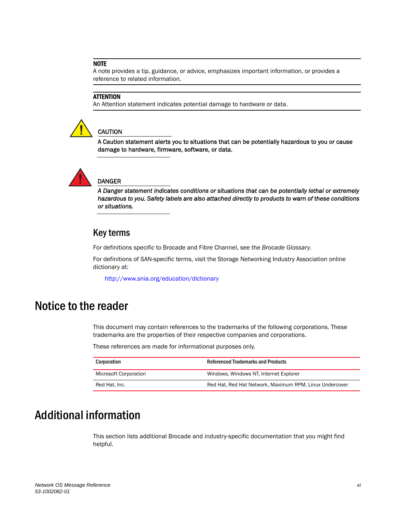#### **NOTE**

A note provides a tip, guidance, or advice, emphasizes important information, or provides a reference to related information.

#### **ATTENTION**

An Attention statement indicates potential damage to hardware or data.



#### **CAUTION**

A Caution statement alerts you to situations that can be potentially hazardous to you or cause damage to hardware, firmware, software, or data.



#### DANGER

*A Danger statement indicates conditions or situations that can be potentially lethal or extremely hazardous to you. Safety labels are also attached directly to products to warn of these conditions or situations.*

#### Key terms

For definitions specific to Brocade and Fibre Channel, see the *Brocade Glossary*.

For definitions of SAN-specific terms, visit the Storage Networking Industry Association online dictionary at*:* 

<http://www.snia.org/education/dictionary>

### <span id="page-10-0"></span>Notice to the reader

This document may contain references to the trademarks of the following corporations. These trademarks are the properties of their respective companies and corporations.

These references are made for informational purposes only.

| Corporation           | <b>Referenced Trademarks and Products</b>               |
|-----------------------|---------------------------------------------------------|
| Microsoft Corporation | Windows, Windows NT, Internet Explorer                  |
| Red Hat. Inc.         | Red Hat, Red Hat Network, Maximum RPM, Linux Undercover |

# <span id="page-10-1"></span>Additional information

This section lists additional Brocade and industry-specific documentation that you might find helpful.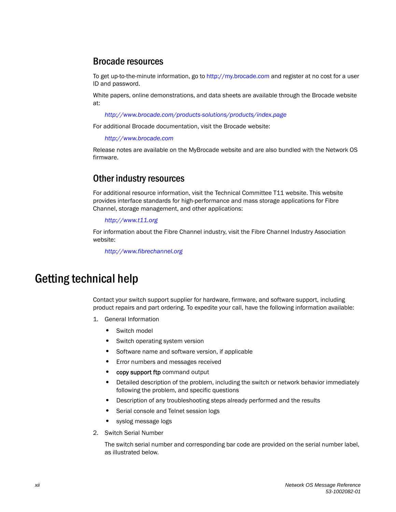#### Brocade resources

To get up-to-the-minute information, go to [http://my.brocade.com](
http://my.brocade.com) and register at no cost for a user ID and password.

White papers, online demonstrations, and data sheets are available through the Brocade website at:

*<http://www.brocade.com/products-solutions/products/index.page>*

For additional Brocade documentation, visit the Brocade website:

*<http://www.brocade.com>*

Release notes are available on the MyBrocade website and are also bundled with the Network OS firmware.

#### Other industry resources

For additional resource information, visit the Technical Committee T11 website. This website provides interface standards for high-performance and mass storage applications for Fibre Channel, storage management, and other applications:

*<http://www.t11.org>*

For information about the Fibre Channel industry, visit the Fibre Channel Industry Association website:

*<http://www.fibrechannel.org>*

# <span id="page-11-0"></span>Getting technical help

Contact your switch support supplier for hardware, firmware, and software support, including product repairs and part ordering. To expedite your call, have the following information available:

- 1. General Information
	- Switch model
	- Switch operating system version
	- Software name and software version, if applicable
	- Error numbers and messages received
	- copy support ftp command output
	- Detailed description of the problem, including the switch or network behavior immediately following the problem, and specific questions
	- Description of any troubleshooting steps already performed and the results
	- Serial console and Telnet session logs
	- syslog message logs
- 2. Switch Serial Number

The switch serial number and corresponding bar code are provided on the serial number label, as illustrated below.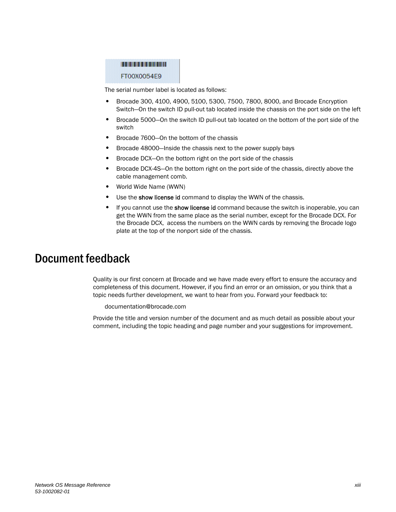

The serial number label is located as follows:

- Brocade 300, 4100, 4900, 5100, 5300, 7500, 7800, 8000, and Brocade Encryption Switch—On the switch ID pull-out tab located inside the chassis on the port side on the left
- Brocade 5000—On the switch ID pull-out tab located on the bottom of the port side of the switch
- Brocade 7600—On the bottom of the chassis
- Brocade 48000—Inside the chassis next to the power supply bays
- Brocade DCX—On the bottom right on the port side of the chassis
- Brocade DCX-4S—On the bottom right on the port side of the chassis, directly above the cable management comb.
- World Wide Name (WWN)
- Use the **show license id** command to display the WWN of the chassis.
- If you cannot use the **show license id** command because the switch is inoperable, you can get the WWN from the same place as the serial number, except for the Brocade DCX. For the Brocade DCX, access the numbers on the WWN cards by removing the Brocade logo plate at the top of the nonport side of the chassis.

## <span id="page-12-0"></span>Document feedback

Quality is our first concern at Brocade and we have made every effort to ensure the accuracy and completeness of this document. However, if you find an error or an omission, or you think that a topic needs further development, we want to hear from you. Forward your feedback to:

documentation@brocade.com

Provide the title and version number of the document and as much detail as possible about your comment, including the topic heading and page number and your suggestions for improvement.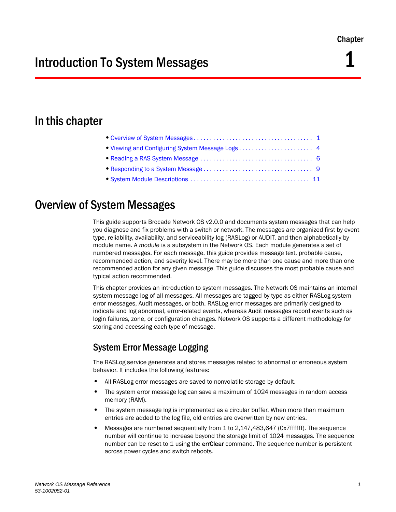# <span id="page-14-4"></span><span id="page-14-1"></span><span id="page-14-0"></span>In this chapter

| . Viewing and Configuring System Message Logs 4 |  |
|-------------------------------------------------|--|
|                                                 |  |
|                                                 |  |
|                                                 |  |

# <span id="page-14-2"></span>Overview of System Messages

This guide supports Brocade Network OS v2.0.0 and documents system messages that can help you diagnose and fix problems with a switch or network. The messages are organized first by event type, reliability, availability, and serviceability log (RASLog) or AUDIT, and then alphabetically by module name. A *module* is a subsystem in the Network OS. Each module generates a set of numbered messages. For each message, this guide provides message text, probable cause, recommended action, and severity level. There may be more than one cause and more than one recommended action for any given message. This guide discusses the most probable cause and typical action recommended.

This chapter provides an introduction to system messages. The Network OS maintains an internal system message log of all messages. All messages are tagged by type as either RASLog system error messages, Audit messages, or both. RASLog error messages are primarily designed to indicate and log abnormal, error-related events, whereas Audit messages record events such as login failures, zone, or configuration changes. Network OS supports a different methodology for storing and accessing each type of message.

### <span id="page-14-3"></span>System Error Message Logging

The RASLog service generates and stores messages related to abnormal or erroneous system behavior. It includes the following features:

- All RASLog error messages are saved to nonvolatile storage by default.
- The system error message log can save a maximum of 1024 messages in random access memory (RAM).
- The system message log is implemented as a circular buffer. When more than maximum entries are added to the log file, old entries are overwritten by new entries.
- Messages are numbered sequentially from 1 to 2,147,483,647 (0x7ffffff). The sequence number will continue to increase beyond the storage limit of 1024 messages. The sequence number can be reset to 1 using the errClear command. The sequence number is persistent across power cycles and switch reboots.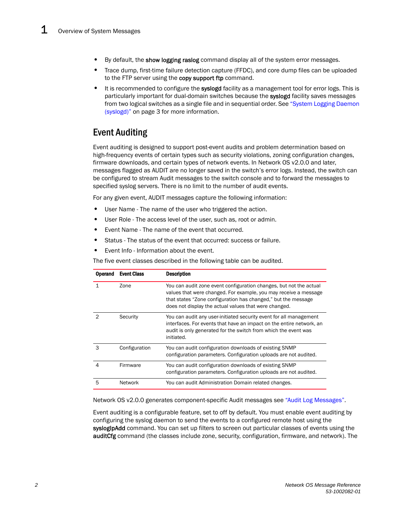- By default, the show logging raslog command display all of the system error messages.
- Trace dump, first-time failure detection capture (FFDC), and core dump files can be uploaded to the FTP server using the copy support ftp command.
- It is recommended to configure the **syslogd** facility as a management tool for error logs. This is particularly important for dual-domain switches because the syslogd facility saves messages from two logical switches as a single file and in sequential order. See ["System Logging Daemon](#page-16-0)  [\(syslogd\)" on page 3](#page-16-0) for more information.

### <span id="page-15-0"></span>Event Auditing

Event auditing is designed to support post-event audits and problem determination based on high-frequency events of certain types such as security violations, zoning configuration changes, firmware downloads, and certain types of network events. In Network OS v2.0.0 and later, messages flagged as AUDIT are no longer saved in the switch's error logs. Instead, the switch can be configured to stream Audit messages to the switch console and to forward the messages to specified syslog servers. There is no limit to the number of audit events.

For any given event, AUDIT messages capture the following information:

- User Name The name of the user who triggered the action.
- User Role The access level of the user, such as, root or admin.
- Event Name The name of the event that occurred.
- Status The status of the event that occurred: success or failure.
- Event Info Information about the event.

The five event classes described in the following table can be audited.

| <b>Operand</b> | <b>Event Class</b> | <b>Description</b>                                                                                                                                                                                                                                               |
|----------------|--------------------|------------------------------------------------------------------------------------------------------------------------------------------------------------------------------------------------------------------------------------------------------------------|
|                | Zone               | You can audit zone event configuration changes, but not the actual<br>values that were changed. For example, you may receive a message<br>that states "Zone configuration has changed," but the message<br>does not display the actual values that were changed. |
|                | Security           | You can audit any user-initiated security event for all management<br>interfaces. For events that have an impact on the entire network, an<br>audit is only generated for the switch from which the event was<br>initiated.                                      |
| З              | Configuration      | You can audit configuration downloads of existing SNMP<br>configuration parameters. Configuration uploads are not audited.                                                                                                                                       |
|                | Firmware           | You can audit configuration downloads of existing SNMP<br>configuration parameters. Configuration uploads are not audited.                                                                                                                                       |
| 5              | <b>Network</b>     | You can audit Administration Domain related changes.                                                                                                                                                                                                             |

Network OS v2.0.0 generates component-specific Audit messages see ["Audit Log Messages".](#page-94-1)

Event auditing is a configurable feature, set to off by default. You must enable event auditing by configuring the syslog daemon to send the events to a configured remote host using the syslogipAdd command. You can set up filters to screen out particular classes of events using the auditCfg command (the classes include zone, security, configuration, firmware, and network). The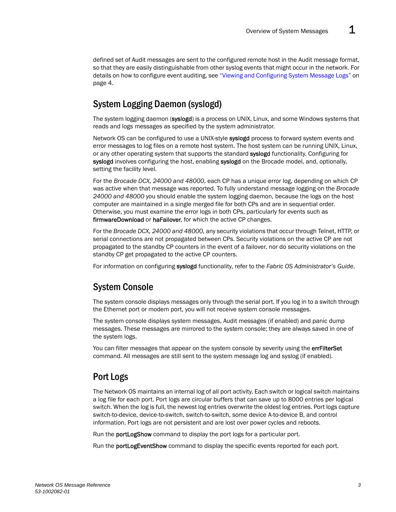defined set of Audit messages are sent to the configured remote host in the Audit message format, so that they are easily distinguishable from other syslog events that might occur in the network. For details on how to configure event auditing, see ["Viewing and Configuring System Message Logs" on](#page-17-0)  [page 4](#page-17-0).

### <span id="page-16-0"></span>System Logging Daemon (syslogd)

The system logging daemon (syslogd) is a process on UNIX, Linux, and some Windows systems that reads and logs messages as specified by the system administrator.

Network OS can be configured to use a UNIX-style syslogd process to forward system events and error messages to log files on a remote host system. The host system can be running UNIX, Linux, or any other operating system that supports the standard **syslogd** functionality. Configuring for syslogd involves configuring the host, enabling syslogd on the Brocade model, and, optionally, setting the facility level.

For the *Brocade DCX, 24000 and 48000*, each CP has a unique error log, depending on which CP was active when that message was reported. To fully understand message logging on the *Brocade 24000 and 48000* you should enable the system logging daemon, because the logs on the host computer are maintained in a single merged file for both CPs and are in sequential order. Otherwise, you must examine the error logs in both CPs, particularly for events such as firmwareDownload or haFailover, for which the active CP changes.

For the *Brocade DCX, 24000 and 48000*, any security violations that occur through Telnet, HTTP, or serial connections are not propagated between CPs. Security violations on the active CP are not propagated to the standby CP counters in the event of a failover, nor do security violations on the standby CP get propagated to the active CP counters.

For information on configuring syslogd functionality, refer to the *Fabric OS Administrator's Guide*.

### <span id="page-16-1"></span>System Console

The system console displays messages only through the serial port. If you log in to a switch through the Ethernet port or modem port, you will not receive system console messages.

The system console displays system messages, Audit messages (if enabled) and panic dump messages. These messages are mirrored to the system console; they are always saved in one of the system logs.

You can filter messages that appear on the system console by severity using the errFilterSet command. All messages are still sent to the system message log and syslog (if enabled).

### <span id="page-16-2"></span>Port Logs

The Network OS maintains an internal log of all port activity. Each switch or logical switch maintains a log file for each port. Port logs are circular buffers that can save up to 8000 entries per logical switch. When the log is full, the newest log entries overwrite the oldest log entries. Port logs capture switch-to-device, device-to-switch, switch-to-switch, some device A-to-device B, and control information. Port logs are not persistent and are lost over power cycles and reboots.

Run the **portLogShow** command to display the port logs for a particular port.

Run the **portLogEventShow** command to display the specific events reported for each port.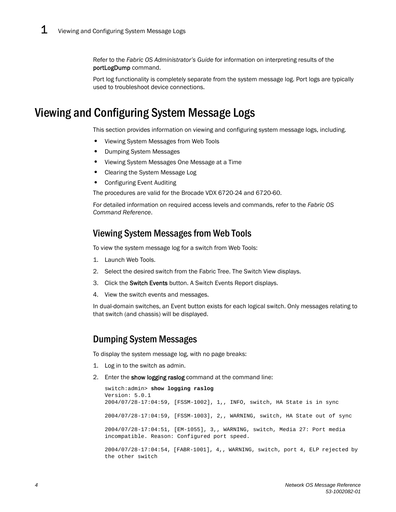Refer to the *Fabric OS Administrator's Guide* for information on interpreting results of the portLogDump command.

Port log functionality is completely separate from the system message log. Port logs are typically used to troubleshoot device connections.

### <span id="page-17-0"></span>Viewing and Configuring System Message Logs

This section provides information on viewing and configuring system message logs, including.

- Viewing System Messages from Web Tools
- Dumping System Messages
- Viewing System Messages One Message at a Time
- Clearing the System Message Log
- Configuring Event Auditing

The procedures are valid for the Brocade VDX 6720-24 and 6720-60.

For detailed information on required access levels and commands, refer to the *Fabric OS Command Reference*.

#### <span id="page-17-1"></span>Viewing System Messages from Web Tools

To view the system message log for a switch from Web Tools:

- 1. Launch Web Tools.
- 2. Select the desired switch from the Fabric Tree. The Switch View displays.
- 3. Click the **Switch Events** button. A Switch Events Report displays.
- 4. View the switch events and messages.

In dual-domain switches, an Event button exists for each logical switch. Only messages relating to that switch (and chassis) will be displayed.

#### <span id="page-17-2"></span>Dumping System Messages

To display the system message log, with no page breaks:

- 1. Log in to the switch as admin.
- 2. Enter the **show logging raslog** command at the command line:

```
switch:admin> show logging raslog
Version: 5.0.1
2004/07/28-17:04:59, [FSSM-1002], 1,, INFO, switch, HA State is in sync
2004/07/28-17:04:59, [FSSM-1003], 2,, WARNING, switch, HA State out of sync
2004/07/28-17:04:51, [EM-1055], 3,, WARNING, switch, Media 27: Port media 
incompatible. Reason: Configured port speed.
```
2004/07/28-17:04:54, [FABR-1001], 4,, WARNING, switch, port 4, ELP rejected by the other switch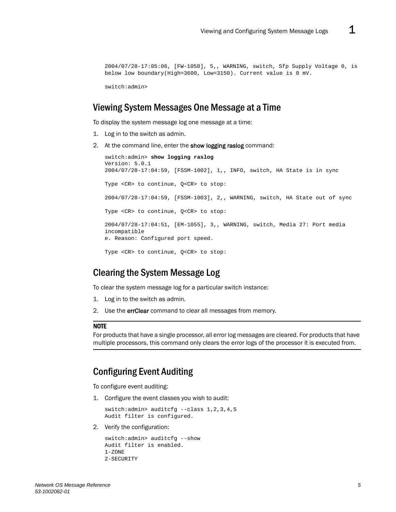```
2004/07/28-17:05:06, [FW-1050], 5,, WARNING, switch, Sfp Supply Voltage 0, is 
below low boundary(High=3600, Low=3150). Current value is 0 mV.
```
switch:admin>

#### <span id="page-18-0"></span>Viewing System Messages One Message at a Time

To display the system message log one message at a time:

- 1. Log in to the switch as admin.
- 2. At the command line, enter the show logging raslog command:

```
switch:admin> show logging raslog
Version: 5.0.1
2004/07/28-17:04:59, [FSSM-1002], 1,, INFO, switch, HA State is in sync
Type <CR> to continue, Q<CR> to stop:
2004/07/28-17:04:59, [FSSM-1003], 2,, WARNING, switch, HA State out of sync
Type <CR> to continue, Q<CR> to stop:
2004/07/28-17:04:51, [EM-1055], 3,, WARNING, switch, Media 27: Port media 
incompatible
e. Reason: Configured port speed.
```

```
Type <CR> to continue, Q<CR> to stop:
```
#### <span id="page-18-1"></span>Clearing the System Message Log

To clear the system message log for a particular switch instance:

- 1. Log in to the switch as admin.
- 2. Use the **errClear** command to clear all messages from memory.

#### NOTE

For products that have a single processor, all error log messages are cleared. For products that have multiple processors, this command only clears the error logs of the processor it is executed from.

#### <span id="page-18-2"></span>Configuring Event Auditing

To configure event auditing:

1. Configure the event classes you wish to audit:

```
switch:admin> auditcfg --class 1,2,3,4,5
Audit filter is configured.
```
2. Verify the configuration:

```
switch:admin> auditcfg --show
Audit filter is enabled.
1-ZONE
2-SECURITY
```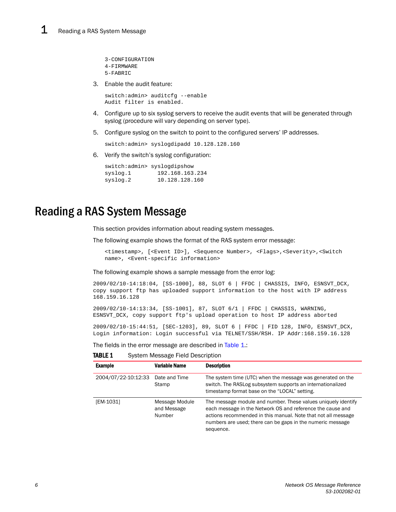```
3-CONFIGURATION
4-FIRMWARE
5-FABRIC
```
3. Enable the audit feature:

```
switch:admin> auditcfg --enable
Audit filter is enabled.
```
- 4. Configure up to six syslog servers to receive the audit events that will be generated through syslog (procedure will vary depending on server type).
- 5. Configure syslog on the switch to point to the configured servers' IP addresses.

switch:admin> syslogdipadd 10.128.128.160

6. Verify the switch's syslog configuration:

|          | switch:admin> syslogdipshow |
|----------|-----------------------------|
| syslog.1 | 192.168.163.234             |
| syslog.2 | 10.128.128.160              |

## <span id="page-19-0"></span>Reading a RAS System Message

This section provides information about reading system messages.

The following example shows the format of the RAS system error message:

<timestamp>, [<Event ID>], <Sequence Number>, <Flags>,<Severity>,<Switch name>, <Event-specific information>

The following example shows a sample message from the error log:

2009/02/10-14:18:04, [SS-1000], 88, SLOT 6 | FFDC | CHASSIS, INFO, ESNSVT\_DCX, copy support ftp has uploaded support information to the host with IP address 168.159.16.128

2009/02/10-14:13:34, [SS-1001], 87, SLOT 6/1 | FFDC | CHASSIS, WARNING, ESNSVT\_DCX, copy support ftp's upload operation to host IP address aborted

2009/02/10-15:44:51, [SEC-1203], 89, SLOT 6 | FFDC | FID 128, INFO, ESNSVT\_DCX, Login information: Login successful via TELNET/SSH/RSH. IP Addr:168.159.16.128

The fields in the error message are described in [Table 1.](#page-19-1):

<span id="page-19-1"></span>

| Table 1 | System Message Field Description |  |  |
|---------|----------------------------------|--|--|
|         |                                  |  |  |

| <b>Example</b>      | Variable Name                           | <b>Description</b>                                                                                                                                                                                                                                                      |
|---------------------|-----------------------------------------|-------------------------------------------------------------------------------------------------------------------------------------------------------------------------------------------------------------------------------------------------------------------------|
| 2004/07/22-10:12:33 | Date and Time<br>Stamp                  | The system time (UTC) when the message was generated on the<br>switch. The RASLog subsystem supports an internationalized<br>timestamp format base on the "LOCAL" setting.                                                                                              |
| [EM-1031]           | Message Module<br>and Message<br>Number | The message module and number. These values uniquely identify<br>each message in the Network OS and reference the cause and<br>actions recommended in this manual. Note that not all message<br>numbers are used; there can be gaps in the numeric message<br>sequence. |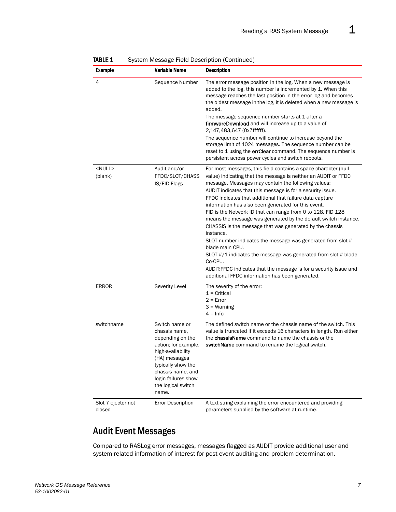| <b>Example</b>               | <b>Variable Name</b>                                                                                                                                                                                               | <b>Description</b>                                                                                                                                                                                                                                                                                                                                                                                                                                                                                                                                                                                                                                                                                                                                                                                                                                                          |
|------------------------------|--------------------------------------------------------------------------------------------------------------------------------------------------------------------------------------------------------------------|-----------------------------------------------------------------------------------------------------------------------------------------------------------------------------------------------------------------------------------------------------------------------------------------------------------------------------------------------------------------------------------------------------------------------------------------------------------------------------------------------------------------------------------------------------------------------------------------------------------------------------------------------------------------------------------------------------------------------------------------------------------------------------------------------------------------------------------------------------------------------------|
| 4                            | Sequence Number                                                                                                                                                                                                    | The error message position in the log. When a new message is<br>added to the log, this number is incremented by 1. When this<br>message reaches the last position in the error log and becomes<br>the oldest message in the log, it is deleted when a new message is<br>added.<br>The message sequence number starts at 1 after a<br>firmwareDownload and will increase up to a value of<br>2,147,483,647 (0x7ffffff).<br>The sequence number will continue to increase beyond the<br>storage limit of 1024 messages. The sequence number can be<br>reset to 1 using the <b>errClear</b> command. The sequence number is<br>persistent across power cycles and switch reboots.                                                                                                                                                                                              |
| <null><br/>(blank)</null>    | Audit and/or<br>FFDC/SLOT/CHASS<br>IS/FID Flags                                                                                                                                                                    | For most messages, this field contains a space character (null<br>value) indicating that the message is neither an AUDIT or FFDC<br>message. Messages may contain the following values:<br>AUDIT indicates that this message is for a security issue.<br>FFDC indicates that additional first failure data capture<br>information has also been generated for this event.<br>FID is the Network ID that can range from 0 to 128. FID 128<br>means the message was generated by the default switch instance.<br>CHASSIS is the message that was generated by the chassis<br>instance.<br>SLOT number indicates the message was generated from slot #<br>blade main CPU.<br>SLOT #/1 indicates the message was generated from slot # blade<br>Co-CPU.<br>AUDIT:FFDC indicates that the message is for a security issue and<br>additional FFDC information has been generated. |
| <b>ERROR</b>                 | Severity Level                                                                                                                                                                                                     | The severity of the error:<br>$1$ = Critical<br>$2$ = Error<br>3 = Warning<br>$4 =$ Info                                                                                                                                                                                                                                                                                                                                                                                                                                                                                                                                                                                                                                                                                                                                                                                    |
| switchname                   | Switch name or<br>chassis name,<br>depending on the<br>action; for example,<br>high-availability<br>(HA) messages<br>typically show the<br>chassis name, and<br>login failures show<br>the logical switch<br>name. | The defined switch name or the chassis name of the switch. This<br>value is truncated if it exceeds 16 characters in length. Run either<br>the <b>chassisName</b> command to name the chassis or the<br>switchName command to rename the logical switch.                                                                                                                                                                                                                                                                                                                                                                                                                                                                                                                                                                                                                    |
| Slot 7 ejector not<br>closed | <b>Error Description</b>                                                                                                                                                                                           | A text string explaining the error encountered and providing<br>parameters supplied by the software at runtime.                                                                                                                                                                                                                                                                                                                                                                                                                                                                                                                                                                                                                                                                                                                                                             |

TABLE 1 System Message Field Description (Continued)

### <span id="page-20-0"></span>Audit Event Messages

Compared to RASLog error messages, messages flagged as AUDIT provide additional user and system-related information of interest for post event auditing and problem determination.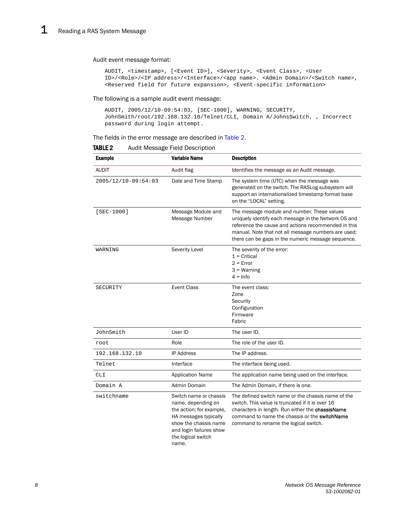Audit event message format:

```
AUDIT, <timestamp>, [<Event ID>], <Severity>, <Event Class>, <User 
ID>/<Role>/<IP address>/<Interface>/<app name>. <Admin Domain>/<Switch name>, 
<Reserved field for future expansion>, <Event-specific information>
```
The following is a sample audit event message:

```
AUDIT, 2005/12/10-09:54:03, [SEC-1000], WARNING, SECURITY, 
JohnSmith/root/192.168.132.10/Telnet/CLI, Domain A/JohnsSwitch, , Incorrect 
password during login attempt.
```
#### The fields in the error message are described in [Table 2.](#page-21-0)

<span id="page-21-0"></span>**TABLE 2** Audit Message Field Description

| <b>Example</b>      | <b>Variable Name</b>                                                                                                                                                                 | <b>Description</b>                                                                                                                                                                                                                                                      |
|---------------------|--------------------------------------------------------------------------------------------------------------------------------------------------------------------------------------|-------------------------------------------------------------------------------------------------------------------------------------------------------------------------------------------------------------------------------------------------------------------------|
| <b>AUDIT</b>        | Audit flag                                                                                                                                                                           | Identifies the message as an Audit message.                                                                                                                                                                                                                             |
| 2005/12/10-09:54:03 | Date and Time Stamp                                                                                                                                                                  | The system time (UTC) when the message was<br>generated on the switch. The RASLog subsystem will<br>support an internationalized timestamp format base<br>on the "LOCAL" setting.                                                                                       |
| $[SEC-1000]$        | Message Module and<br>Message Number                                                                                                                                                 | The message module and number. These values<br>uniquely identify each message in the Network OS and<br>reference the cause and actions recommended in this<br>manual. Note that not all message numbers are used;<br>there can be gaps in the numeric message sequence. |
| WARNING             | <b>Severity Level</b>                                                                                                                                                                | The severity of the error:<br>$1$ = Critical<br>$2$ = Error<br>$3 =$ Warning<br>$4 =$ Info                                                                                                                                                                              |
| SECURITY            | <b>Event Class</b>                                                                                                                                                                   | The event class:<br>Zone<br>Security<br>Configuration<br>Firmware<br>Fabric                                                                                                                                                                                             |
| JohnSmith           | User ID                                                                                                                                                                              | The user ID.                                                                                                                                                                                                                                                            |
| root                | Role                                                                                                                                                                                 | The role of the user ID.                                                                                                                                                                                                                                                |
| 192.168.132.10      | <b>IP Address</b>                                                                                                                                                                    | The IP address.                                                                                                                                                                                                                                                         |
| Telnet              | Interface                                                                                                                                                                            | The interface being used.                                                                                                                                                                                                                                               |
| <b>CLI</b>          | <b>Application Name</b>                                                                                                                                                              | The application name being used on the interface.                                                                                                                                                                                                                       |
| Domain A            | Admin Domain                                                                                                                                                                         | The Admin Domain, if there is one.                                                                                                                                                                                                                                      |
| switchname          | Switch name or chassis<br>name, depending on<br>the action; for example,<br>HA messages typically<br>show the chassis name<br>and login failures show<br>the logical switch<br>name. | The defined switch name or the chassis name of the<br>switch. This value is truncated if it is over 16<br>characters in length. Run either the <b>chassisName</b><br>command to name the chassis or the switchName<br>command to rename the logical switch.             |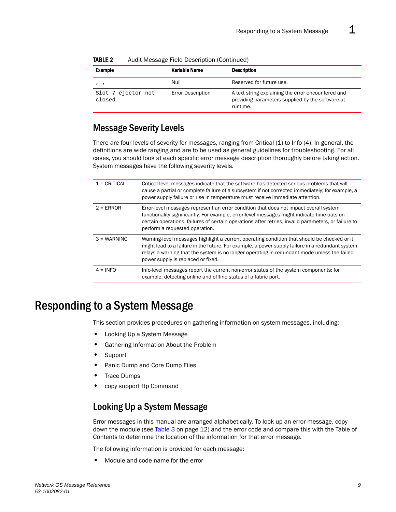| <b>Example</b>               | Variable Name            | <b>Description</b>                                                                                                 |
|------------------------------|--------------------------|--------------------------------------------------------------------------------------------------------------------|
|                              | Null                     | Reserved for future use.                                                                                           |
| Slot 7 ejector not<br>closed | <b>Error Description</b> | A text string explaining the error encountered and<br>providing parameters supplied by the software at<br>runtime. |

| TABLE 2 | Audit Message Field Description (Continued) |  |
|---------|---------------------------------------------|--|
|         |                                             |  |

### <span id="page-22-0"></span>Message Severity Levels

There are four levels of severity for messages, ranging from Critical (1) to Info (4). In general, the definitions are wide ranging and are to be used as general guidelines for troubleshooting. For all cases, you should look at each specific error message description thoroughly before taking action. System messages have the following severity levels.

| $1 = CRITICAL$ | Critical-level messages indicate that the software has detected serious problems that will<br>cause a partial or complete failure of a subsystem if not corrected immediately; for example, a<br>power supply failure or rise in temperature must receive immediate attention.                                                       |
|----------------|--------------------------------------------------------------------------------------------------------------------------------------------------------------------------------------------------------------------------------------------------------------------------------------------------------------------------------------|
| $2 = ERROR$    | Error-level messages represent an error condition that does not impact overall system<br>functionality significantly. For example, error-level messages might indicate time-outs on<br>certain operations, failures of certain operations after retries, invalid parameters, or failure to<br>perform a requested operation.         |
| $3 = WARNING$  | Warning-level messages highlight a current operating condition that should be checked or it<br>might lead to a failure in the future. For example, a power supply failure in a redundant system<br>relays a warning that the system is no longer operating in redundant mode unless the failed<br>power supply is replaced or fixed. |
| $4 = INFO$     | Info-level messages report the current non-error status of the system components: for<br>example, detecting online and offline status of a fabric port.                                                                                                                                                                              |

# <span id="page-22-1"></span>Responding to a System Message

This section provides procedures on gathering information on system messages, including:

- Looking Up a System Message
- Gathering Information About the Problem
- Support
- Panic Dump and Core Dump Files
- Trace Dumps
- copy support ftp Command

### <span id="page-22-2"></span>Looking Up a System Message

Error messages in this manual are arranged alphabetically. To look up an error message, copy down the module (see [Table 3 on page 12](#page-25-0)) and the error code and compare this with the Table of Contents to determine the location of the information for that error message.

The following information is provided for each message:

• Module and code name for the error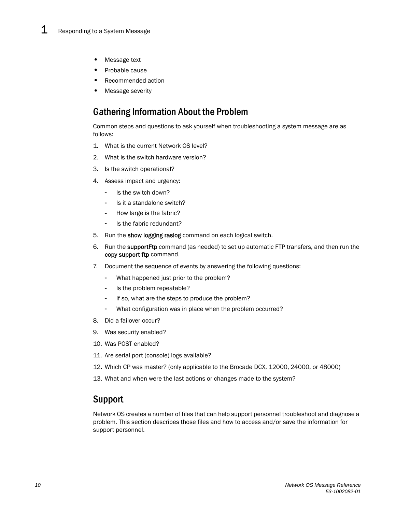- Message text
- Probable cause
- Recommended action
- Message severity

### <span id="page-23-0"></span>Gathering Information About the Problem

Common steps and questions to ask yourself when troubleshooting a system message are as follows:

- 1. What is the current Network OS level?
- 2. What is the switch hardware version?
- 3. Is the switch operational?
- 4. Assess impact and urgency:
	- Is the switch down?
	- Is it a standalone switch?
	- How large is the fabric?
	- Is the fabric redundant?
- 5. Run the show logging raslog command on each logical switch.
- 6. Run the supportFtp command (as needed) to set up automatic FTP transfers, and then run the copy support ftp command.
- 7. Document the sequence of events by answering the following questions:
	- What happened just prior to the problem?
	- Is the problem repeatable?
	- If so, what are the steps to produce the problem?
	- What configuration was in place when the problem occurred?
- 8. Did a failover occur?
- 9. Was security enabled?
- 10. Was POST enabled?
- 11. Are serial port (console) logs available?
- 12. Which CP was master? (only applicable to the Brocade DCX, 12000, 24000, or 48000)
- 13. What and when were the last actions or changes made to the system?

### <span id="page-23-1"></span>Support

Network OS creates a number of files that can help support personnel troubleshoot and diagnose a problem. This section describes those files and how to access and/or save the information for support personnel.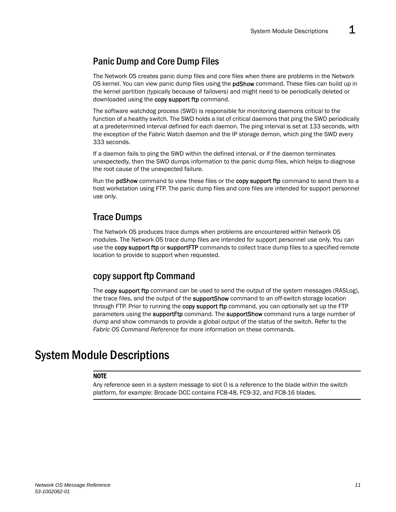### <span id="page-24-0"></span>Panic Dump and Core Dump Files

The Network OS creates panic dump files and core files when there are problems in the Network OS kernel. You can view panic dump files using the **pdShow** command. These files can build up in the kernel partition (typically because of failovers) and might need to be periodically deleted or downloaded using the copy support ftp command.

The software watchdog process (SWD) is responsible for monitoring daemons critical to the function of a healthy switch. The SWD holds a list of critical daemons that ping the SWD periodically at a predetermined interval defined for each daemon. The ping interval is set at 133 seconds, with the exception of the Fabric Watch daemon and the IP storage demon, which ping the SWD every 333 seconds.

If a daemon fails to ping the SWD within the defined interval, or if the daemon terminates unexpectedly, then the SWD dumps information to the panic dump files, which helps to diagnose the root cause of the unexpected failure.

Run the **pdShow** command to view these files or the **copy support ftp** command to send them to a host workstation using FTP. The panic dump files and core files are intended for support personnel use only.

### <span id="page-24-1"></span>Trace Dumps

The Network OS produces trace dumps when problems are encountered within Network OS modules. The Network OS trace dump files are intended for support personnel use only. You can use the copy support ftp or supportFTP commands to collect trace dump files to a specified remote location to provide to support when requested.

### <span id="page-24-2"></span>copy support ftp Command

The copy support ftp command can be used to send the output of the system messages (RASLog), the trace files, and the output of the supportShow command to an off-switch storage location through FTP. Prior to running the copy support ftp command, you can optionally set up the FTP parameters using the supportFtp command. The supportShow command runs a large number of dump and show commands to provide a global output of the status of the switch. Refer to the *Fabric OS Command Reference* for more information on these commands.

# <span id="page-24-3"></span>System Module Descriptions

#### **NOTE**

Any reference seen in a system message to slot 0 is a reference to the blade within the switch platform, for example: Brocade DCC contains FC8-48, FC9-32, and FC8-16 blades.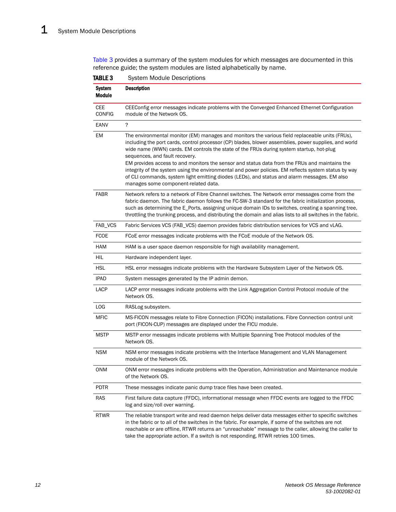[Table 3](#page-25-0) provides a summary of the system modules for which messages are documented in this reference guide; the system modules are listed alphabetically by name.

|                             | 3,300 oudio Boson.pao.io                                                                                                                                                                                                                                                                                                                                                                                                                                                                                                                                                                                                                                                                |
|-----------------------------|-----------------------------------------------------------------------------------------------------------------------------------------------------------------------------------------------------------------------------------------------------------------------------------------------------------------------------------------------------------------------------------------------------------------------------------------------------------------------------------------------------------------------------------------------------------------------------------------------------------------------------------------------------------------------------------------|
| System<br><b>Module</b>     | Description                                                                                                                                                                                                                                                                                                                                                                                                                                                                                                                                                                                                                                                                             |
| <b>CEE</b><br><b>CONFIG</b> | CEEConfig error messages indicate problems with the Converged Enhanced Ethernet Configuration<br>module of the Network OS.                                                                                                                                                                                                                                                                                                                                                                                                                                                                                                                                                              |
| <b>EANV</b>                 | ?                                                                                                                                                                                                                                                                                                                                                                                                                                                                                                                                                                                                                                                                                       |
| EM                          | The environmental monitor (EM) manages and monitors the various field replaceable units (FRUs),<br>including the port cards, control processor (CP) blades, blower assemblies, power supplies, and world<br>wide name (WWN) cards. EM controls the state of the FRUs during system startup, hot-plug<br>sequences, and fault recovery.<br>EM provides access to and monitors the sensor and status data from the FRUs and maintains the<br>integrity of the system using the environmental and power policies. EM reflects system status by way<br>of CLI commands, system light emitting diodes (LEDs), and status and alarm messages. EM also<br>manages some component-related data. |
| <b>FABR</b>                 | Network refers to a network of Fibre Channel switches. The Network error messages come from the<br>fabric daemon. The fabric daemon follows the FC-SW-3 standard for the fabric initialization process,<br>such as determining the E_Ports, assigning unique domain IDs to switches, creating a spanning tree,<br>throttling the trunking process, and distributing the domain and alias lists to all switches in the fabric.                                                                                                                                                                                                                                                           |
| FAB_VCS                     | Fabric Services VCS (FAB_VCS) daemon provides fabric distribution services for VCS and vLAG.                                                                                                                                                                                                                                                                                                                                                                                                                                                                                                                                                                                            |
| <b>FCOE</b>                 | FCoE error messages indicate problems with the FCoE module of the Network OS.                                                                                                                                                                                                                                                                                                                                                                                                                                                                                                                                                                                                           |
| HAM                         | HAM is a user space daemon responsible for high availability management.                                                                                                                                                                                                                                                                                                                                                                                                                                                                                                                                                                                                                |
| HIL                         | Hardware independent layer.                                                                                                                                                                                                                                                                                                                                                                                                                                                                                                                                                                                                                                                             |
| <b>HSL</b>                  | HSL error messages indicate problems with the Hardware Subsystem Layer of the Network OS.                                                                                                                                                                                                                                                                                                                                                                                                                                                                                                                                                                                               |
| <b>IPAD</b>                 | System messages generated by the IP admin demon.                                                                                                                                                                                                                                                                                                                                                                                                                                                                                                                                                                                                                                        |
| LACP                        | LACP error messages indicate problems with the Link Aggregation Control Protocol module of the<br>Network OS.                                                                                                                                                                                                                                                                                                                                                                                                                                                                                                                                                                           |
| LOG                         | RASLog subsystem.                                                                                                                                                                                                                                                                                                                                                                                                                                                                                                                                                                                                                                                                       |
| <b>MFIC</b>                 | MS-FICON messages relate to Fibre Connection (FICON) installations. Fibre Connection control unit<br>port (FICON-CUP) messages are displayed under the FICU module.                                                                                                                                                                                                                                                                                                                                                                                                                                                                                                                     |
| <b>MSTP</b>                 | MSTP error messages indicate problems with Multiple Spanning Tree Protocol modules of the<br>Network OS.                                                                                                                                                                                                                                                                                                                                                                                                                                                                                                                                                                                |
| <b>NSM</b>                  | NSM error messages indicate problems with the Interface Management and VLAN Management<br>module of the Network OS.                                                                                                                                                                                                                                                                                                                                                                                                                                                                                                                                                                     |
| <b>ONM</b>                  | ONM error messages indicate problems with the Operation, Administration and Maintenance module<br>of the Network OS.                                                                                                                                                                                                                                                                                                                                                                                                                                                                                                                                                                    |
| <b>PDTR</b>                 | These messages indicate panic dump trace files have been created.                                                                                                                                                                                                                                                                                                                                                                                                                                                                                                                                                                                                                       |
| <b>RAS</b>                  | First failure data capture (FFDC), informational message when FFDC events are logged to the FFDC<br>log and size/roll over warning.                                                                                                                                                                                                                                                                                                                                                                                                                                                                                                                                                     |
| <b>RTWR</b>                 | The reliable transport write and read daemon helps deliver data messages either to specific switches<br>in the fabric or to all of the switches in the fabric. For example, if some of the switches are not<br>reachable or are offline, RTWR returns an "unreachable" message to the caller, allowing the caller to<br>take the appropriate action. If a switch is not responding, RTWR retries 100 times.                                                                                                                                                                                                                                                                             |

<span id="page-25-0"></span>**TABLE 3** System Module Descriptions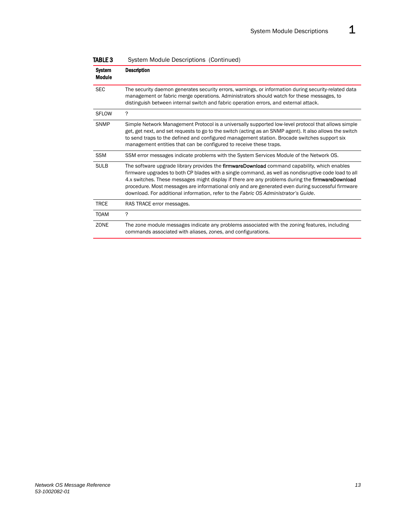| <b>System</b><br><b>Module</b> | <b>Description</b>                                                                                                                                                                                                                                                                                                                                                                                                                                                                                          |
|--------------------------------|-------------------------------------------------------------------------------------------------------------------------------------------------------------------------------------------------------------------------------------------------------------------------------------------------------------------------------------------------------------------------------------------------------------------------------------------------------------------------------------------------------------|
| <b>SEC</b>                     | The security daemon generates security errors, warnings, or information during security-related data<br>management or fabric merge operations. Administrators should watch for these messages, to<br>distinguish between internal switch and fabric operation errors, and external attack.                                                                                                                                                                                                                  |
| <b>SFLOW</b>                   | ?                                                                                                                                                                                                                                                                                                                                                                                                                                                                                                           |
| <b>SNMP</b>                    | Simple Network Management Protocol is a universally supported low-level protocol that allows simple<br>get, get next, and set requests to go to the switch (acting as an SNMP agent). It also allows the switch<br>to send traps to the defined and configured management station. Brocade switches support six<br>management entities that can be configured to receive these traps.                                                                                                                       |
| <b>SSM</b>                     | SSM error messages indicate problems with the System Services Module of the Network OS.                                                                                                                                                                                                                                                                                                                                                                                                                     |
| <b>SULB</b>                    | The software upgrade library provides the firmwareDownload command capability, which enables<br>firmware upgrades to both CP blades with a single command, as well as nondisruptive code load to all<br>4.x switches. These messages might display if there are any problems during the <b>firmwareDownload</b><br>procedure. Most messages are informational only and are generated even during successful firmware<br>download. For additional information, refer to the Fabric OS Administrator's Guide. |
| <b>TRCE</b>                    | RAS TRACE error messages.                                                                                                                                                                                                                                                                                                                                                                                                                                                                                   |
| <b>TOAM</b>                    | ?                                                                                                                                                                                                                                                                                                                                                                                                                                                                                                           |
| ZONE                           | The zone module messages indicate any problems associated with the zoning features, including<br>commands associated with aliases, zones, and configurations.                                                                                                                                                                                                                                                                                                                                               |

#### **TABLE 3** System Module Descriptions (Continued)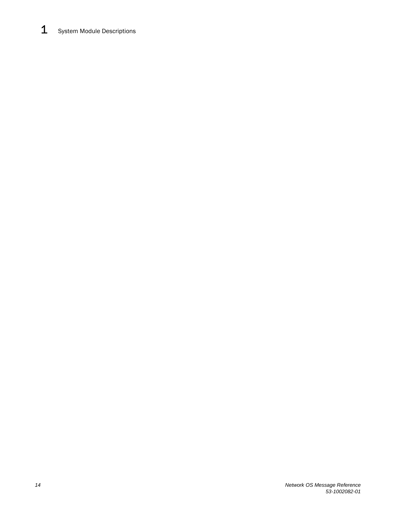### 1 System Module Descriptions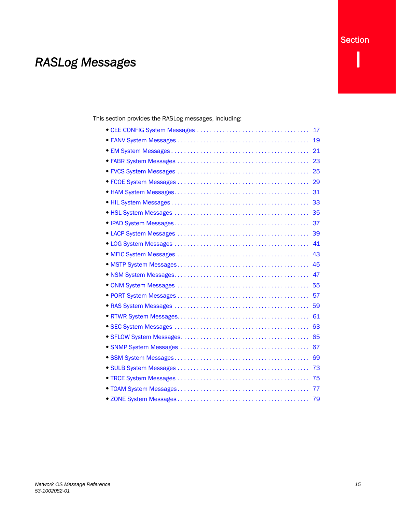# <span id="page-28-0"></span>**RASLog Messages**

This section provides the RASLog messages, including:

| 17 |
|----|
| 19 |
|    |
|    |
|    |
|    |
|    |
|    |
|    |
|    |
|    |
| 41 |
|    |
|    |
|    |
|    |
|    |
|    |
|    |
|    |
|    |
|    |
|    |
|    |
| 75 |
|    |
| 79 |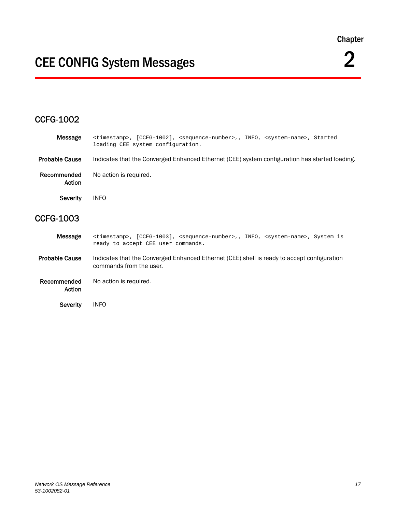# <span id="page-30-3"></span><span id="page-30-0"></span>CEE CONFIG System Messages 2

### <span id="page-30-1"></span>CCFG-1002

<span id="page-30-2"></span>

| Message               | <timestamp>, [CCFG-1002], <sequence-number>,, INFO, <system-name>, Started<br/>loading CEE system configuration.</system-name></sequence-number></timestamp>    |  |  |  |  |  |
|-----------------------|-----------------------------------------------------------------------------------------------------------------------------------------------------------------|--|--|--|--|--|
| <b>Probable Cause</b> | Indicates that the Converged Enhanced Ethernet (CEE) system configuration has started loading.                                                                  |  |  |  |  |  |
| Recommended<br>Action | No action is required.                                                                                                                                          |  |  |  |  |  |
| <b>Severity</b>       | <b>INFO</b>                                                                                                                                                     |  |  |  |  |  |
| <b>CCFG-1003</b>      |                                                                                                                                                                 |  |  |  |  |  |
| Message               | <timestamp>, [CCFG-1003], <sequence-number>,, INFO, <system-name>, System is<br/>ready to accept CEE user commands.</system-name></sequence-number></timestamp> |  |  |  |  |  |
| <b>Probable Cause</b> | Indicates that the Converged Enhanced Ethernet (CEE) shell is ready to accept configuration<br>commands from the user.                                          |  |  |  |  |  |
| Recommended<br>Action | No action is required.                                                                                                                                          |  |  |  |  |  |
| <b>Severity</b>       | <b>INFO</b>                                                                                                                                                     |  |  |  |  |  |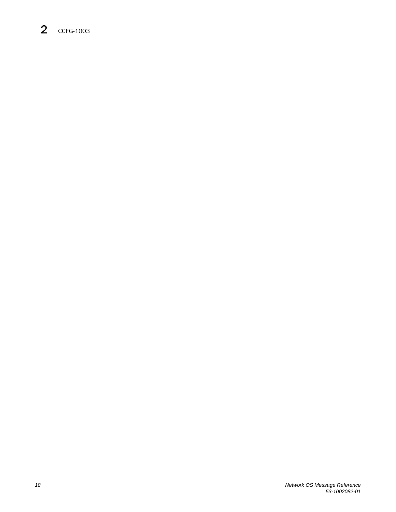CCFG-1003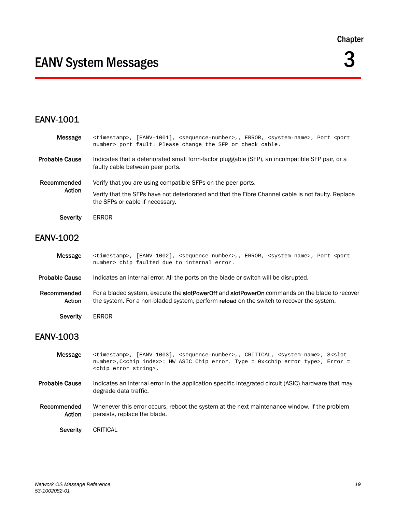### <span id="page-32-4"></span><span id="page-32-1"></span><span id="page-32-0"></span>EANV-1001

<span id="page-32-3"></span><span id="page-32-2"></span>

| Message               | <timestamp>, [EANV-1001], <sequence-number>,, ERROR, <system-name>, Port <port<br>number&gt; port fault. Please change the SFP or check cable.</port<br></system-name></sequence-number></timestamp>                                                                                   |  |  |  |  |  |  |
|-----------------------|----------------------------------------------------------------------------------------------------------------------------------------------------------------------------------------------------------------------------------------------------------------------------------------|--|--|--|--|--|--|
| <b>Probable Cause</b> | Indicates that a deteriorated small form-factor pluggable (SFP), an incompatible SFP pair, or a<br>faulty cable between peer ports.                                                                                                                                                    |  |  |  |  |  |  |
| Recommended           | Verify that you are using compatible SFPs on the peer ports.                                                                                                                                                                                                                           |  |  |  |  |  |  |
| Action                | Verify that the SFPs have not deteriorated and that the Fibre Channel cable is not faulty. Replace<br>the SFPs or cable if necessary.                                                                                                                                                  |  |  |  |  |  |  |
| <b>Severity</b>       | <b>ERROR</b>                                                                                                                                                                                                                                                                           |  |  |  |  |  |  |
| <b>EANV-1002</b>      |                                                                                                                                                                                                                                                                                        |  |  |  |  |  |  |
| Message               | <timestamp>, [EANV-1002], <sequence-number>,, ERROR, <system-name>, Port <port<br>number&gt; chip faulted due to internal error.</port<br></system-name></sequence-number></timestamp>                                                                                                 |  |  |  |  |  |  |
| <b>Probable Cause</b> | Indicates an internal error. All the ports on the blade or switch will be disrupted.                                                                                                                                                                                                   |  |  |  |  |  |  |
| Recommended<br>Action | For a bladed system, execute the slotPowerOff and slotPowerOn commands on the blade to recover<br>the system. For a non-bladed system, perform reload on the switch to recover the system.                                                                                             |  |  |  |  |  |  |
| <b>Severity</b>       | <b>ERROR</b>                                                                                                                                                                                                                                                                           |  |  |  |  |  |  |
| <b>EANV-1003</b>      |                                                                                                                                                                                                                                                                                        |  |  |  |  |  |  |
| Message               | <timestamp>, [EANV-1003], <sequence-number>,, CRITICAL, <system-name>, S<slot<br>number&gt;, C<chip index="">: HW ASIC Chip error. Type = 0x<chip error="" type="">, Error =<br/><chip error="" string="">.</chip></chip></chip></slot<br></system-name></sequence-number></timestamp> |  |  |  |  |  |  |
| <b>Probable Cause</b> | Indicates an internal error in the application specific integrated circuit (ASIC) hardware that may<br>degrade data traffic.                                                                                                                                                           |  |  |  |  |  |  |
| Recommended<br>Action | Whenever this error occurs, reboot the system at the next maintenance window. If the problem<br>persists, replace the blade.                                                                                                                                                           |  |  |  |  |  |  |
| <b>Severity</b>       | <b>CRITICAL</b>                                                                                                                                                                                                                                                                        |  |  |  |  |  |  |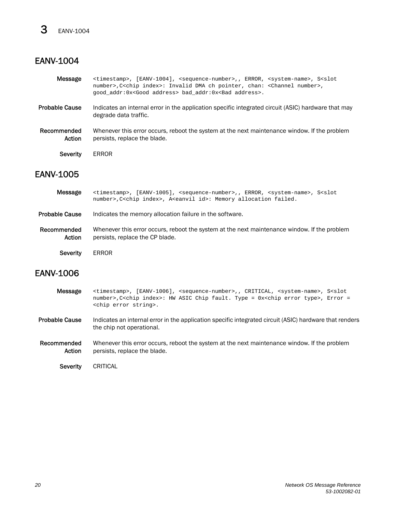### <span id="page-33-0"></span>EANV-1004

<span id="page-33-1"></span>

| Message               | <timestamp>, [EANV-1004], <sequence-number>,, ERROR, <system-name>, S<slot<br>number&gt;, C<chip index="">: Invalid DMA ch pointer, chan: <channel number="">,<br/>good_addr:0x<good address=""> bad_addr:0x<bad address="">.</bad></good></channel></chip></slot<br></system-name></sequence-number></timestamp> |  |  |  |  |  |
|-----------------------|-------------------------------------------------------------------------------------------------------------------------------------------------------------------------------------------------------------------------------------------------------------------------------------------------------------------|--|--|--|--|--|
| <b>Probable Cause</b> | Indicates an internal error in the application specific integrated circuit (ASIC) hardware that may<br>degrade data traffic.                                                                                                                                                                                      |  |  |  |  |  |
| Recommended<br>Action | Whenever this error occurs, reboot the system at the next maintenance window. If the problem<br>persists, replace the blade.                                                                                                                                                                                      |  |  |  |  |  |
| <b>Severity</b>       | ERROR                                                                                                                                                                                                                                                                                                             |  |  |  |  |  |
| <b>EANV-1005</b>      |                                                                                                                                                                                                                                                                                                                   |  |  |  |  |  |
| Message               | <timestamp>, [EANV-1005], <sequence-number>,, ERROR, <system-name>, S<slot<br>number&gt;, C<chip index="">, A<eanvil id="">: Memory allocation failed.</eanvil></chip></slot<br></system-name></sequence-number></timestamp>                                                                                      |  |  |  |  |  |
| <b>Probable Cause</b> | Indicates the memory allocation failure in the software.                                                                                                                                                                                                                                                          |  |  |  |  |  |
| Recommended<br>Action | Whenever this error occurs, reboot the system at the next maintenance window. If the problem<br>persists, replace the CP blade.                                                                                                                                                                                   |  |  |  |  |  |
| <b>Severity</b>       | <b>ERROR</b>                                                                                                                                                                                                                                                                                                      |  |  |  |  |  |

#### <span id="page-33-2"></span>EANV-1006

| Message | timestamp>, [EANV-1006], <sequence-number>,, CRITICAL, <system-name>, S<slot <="" a=""></slot></system-name></sequence-number> |  |  |  |  |  |
|---------|--------------------------------------------------------------------------------------------------------------------------------|--|--|--|--|--|
|         | number>,C <chip index="">: HW ASIC Chip fault. Type = 0x<chip error="" type="">, Error =</chip></chip>                         |  |  |  |  |  |
|         | <chip error="" string="">.</chip>                                                                                              |  |  |  |  |  |

Probable Cause Indicates an internal error in the application specific integrated circuit (ASIC) hardware that renders the chip not operational.

#### Recommended Action Whenever this error occurs, reboot the system at the next maintenance window. If the problem persists, replace the blade.

Severity CRITICAL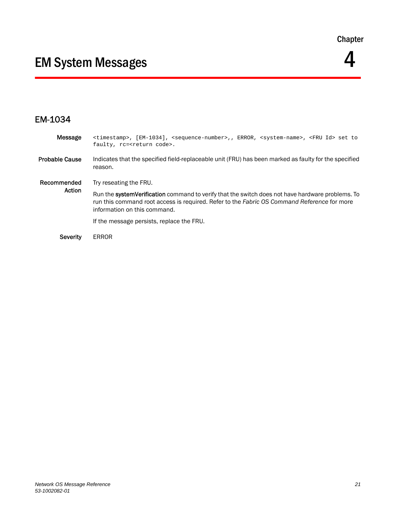Chapter

### <span id="page-34-2"></span><span id="page-34-1"></span><span id="page-34-0"></span>EM-1034

| Message               | <timestamp>, [EM-1034], <sequence-number>,, ERROR, <system-name>, <fru id=""> set to<br/>faulty, rc=<return code="">.</return></fru></system-name></sequence-number></timestamp>                                                 |  |  |  |  |  |  |
|-----------------------|----------------------------------------------------------------------------------------------------------------------------------------------------------------------------------------------------------------------------------|--|--|--|--|--|--|
| <b>Probable Cause</b> | Indicates that the specified field-replaceable unit (FRU) has been marked as faulty for the specified<br>reason.                                                                                                                 |  |  |  |  |  |  |
| Recommended           | Try reseating the FRU.                                                                                                                                                                                                           |  |  |  |  |  |  |
| Action                | Run the system Verification command to verify that the switch does not have hardware problems. To<br>run this command root access is required. Refer to the Fabric OS Command Reference for more<br>information on this command. |  |  |  |  |  |  |
|                       | If the message persists, replace the FRU.                                                                                                                                                                                        |  |  |  |  |  |  |
| <b>Severity</b>       | ERROR                                                                                                                                                                                                                            |  |  |  |  |  |  |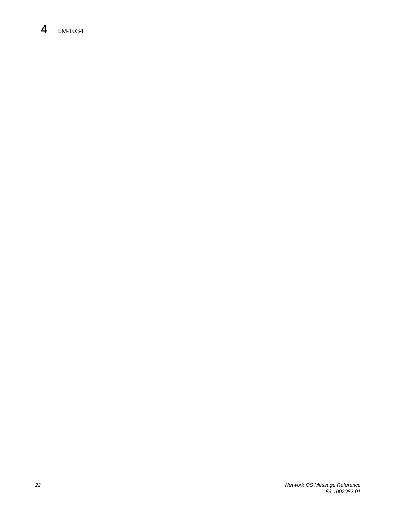EM-1034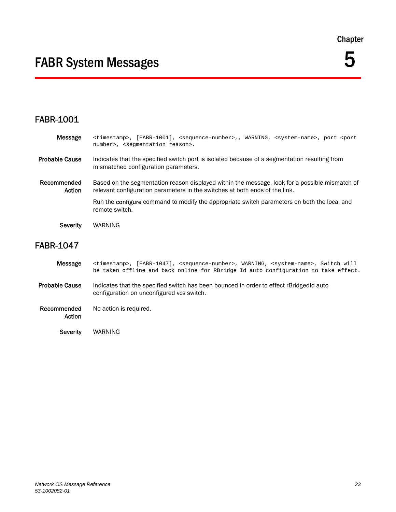# FABR-1001

| Message               | <timestamp>, [FABR-1001], <sequence-number>,, WARNING, <system-name>, port <port<br>number&gt;, <seqmentation reason="">.</seqmentation></port<br></system-name></sequence-number></timestamp>                      |
|-----------------------|---------------------------------------------------------------------------------------------------------------------------------------------------------------------------------------------------------------------|
| <b>Probable Cause</b> | Indicates that the specified switch port is isolated because of a segmentation resulting from<br>mismatched configuration parameters.                                                                               |
| Recommended<br>Action | Based on the segmentation reason displayed within the message, look for a possible mismatch of<br>relevant configuration parameters in the switches at both ends of the link.                                       |
|                       | Run the configure command to modify the appropriate switch parameters on both the local and<br>remote switch.                                                                                                       |
| <b>Severity</b>       | WARNING                                                                                                                                                                                                             |
| <b>FABR-1047</b>      |                                                                                                                                                                                                                     |
| Message               | <timestamp>, [FABR-1047], <sequence-number>, WARNING, <system-name>, Switch will<br/>be taken offline and back online for RBridge Id auto configuration to take effect.</system-name></sequence-number></timestamp> |
| <b>Probable Cause</b> | Indicates that the specified switch has been bounced in order to effect rBridgedId auto<br>configuration on unconfigured vcs switch.                                                                                |
| Recommended<br>Action | No action is required.                                                                                                                                                                                              |
| <b>Severity</b>       | WARNING                                                                                                                                                                                                             |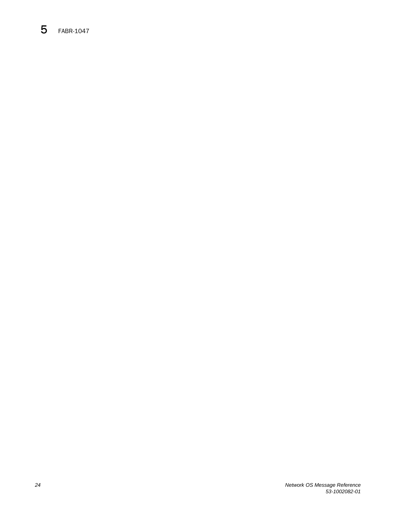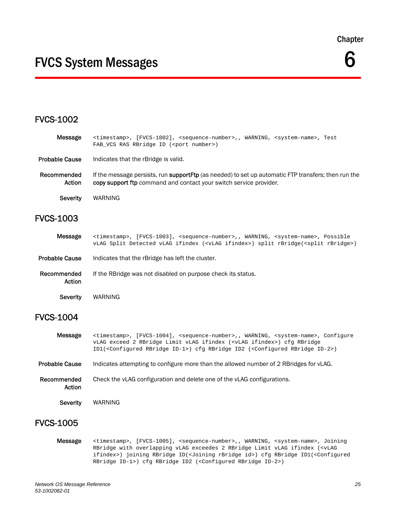#### FVCS-1002

| Message               | <timestamp>, [FVCS-1002], <sequence-number>,, WARNING, <system-name>, Test<br/>FAB VCS RAS RBridge ID (<port number="">)</port></system-name></sequence-number></timestamp>                                                          |
|-----------------------|--------------------------------------------------------------------------------------------------------------------------------------------------------------------------------------------------------------------------------------|
| <b>Probable Cause</b> | Indicates that the rBridge is valid.                                                                                                                                                                                                 |
| Recommended<br>Action | If the message persists, run <b>supportFtp</b> (as needed) to set up automatic FTP transfers; then run the<br>copy support ftp command and contact your switch service provider.                                                     |
| <b>Severity</b>       | WARNING                                                                                                                                                                                                                              |
| <b>FVCS-1003</b>      |                                                                                                                                                                                                                                      |
| Message               | <timestamp>, [FVCS-1003], <sequence-number>,, WARNING, <system-name>, Possible<br/>vLAG Split Detected vLAG ifindex (<vlag ifindex="">) split rBridge(<split rbridge="">)</split></vlag></system-name></sequence-number></timestamp> |
| <b>Probable Cause</b> | Indicates that the rBridge has left the cluster.                                                                                                                                                                                     |
| Recommended<br>Action | If the RBridge was not disabled on purpose check its status.                                                                                                                                                                         |
| <b>Severity</b>       | WARNING                                                                                                                                                                                                                              |

### FVCS-1004

| Message               | <timestamp>, [FVCS-1004], <sequence-number>,, WARNING, <system-name>, Configure<br/>vLAG exceed 2 RBridge Limit vLAG ifindex (<vlag ifindex="">) cfg RBridge<br/>ID1(<configured id-1="" rbridge="">) cfg RBridge ID2 (<configured id-2="" rbridge="">)</configured></configured></vlag></system-name></sequence-number></timestamp> |
|-----------------------|--------------------------------------------------------------------------------------------------------------------------------------------------------------------------------------------------------------------------------------------------------------------------------------------------------------------------------------|
| <b>Probable Cause</b> | Indicates attempting to configure more than the allowed number of 2 RBridges for vLAG.                                                                                                                                                                                                                                               |
| Recommended<br>Action | Check the vLAG configuration and delete one of the vLAG configurations.                                                                                                                                                                                                                                                              |
| <b>Severity</b>       | WARNING                                                                                                                                                                                                                                                                                                                              |

#### FVCS-1005

Message <timestamp>, [FVCS-1005], <sequence-number>,, WARNING, <system-name>, Joining RBridge with overlapping vLAG exceedes 2 RBridge Limit vLAG ifindex (<vLAG ifindex>) joining RBridge ID(<Joining rBridge id>) cfg RBridge ID1(<Configured RBridge ID-1>) cfg RBridge ID2 (<Configured RBridge ID-2>)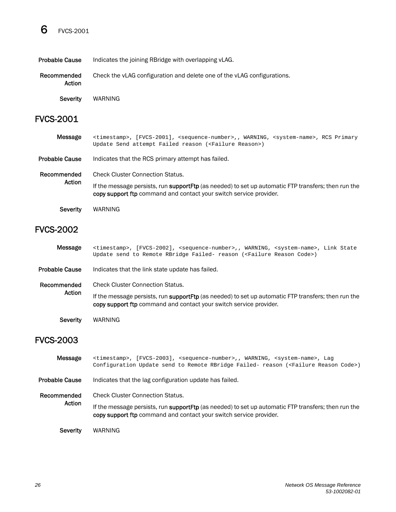6 FVCS-2001

| <b>Probable Cause</b> | Indicates the joining RBridge with overlapping vLAG.                                                                                                                                                                         |
|-----------------------|------------------------------------------------------------------------------------------------------------------------------------------------------------------------------------------------------------------------------|
| Recommended<br>Action | Check the vLAG configuration and delete one of the vLAG configurations.                                                                                                                                                      |
| <b>Severity</b>       | <b>WARNING</b>                                                                                                                                                                                                               |
| <b>FVCS-2001</b>      |                                                                                                                                                                                                                              |
| Message               | <timestamp>, [FVCS-2001], <sequence-number>,, WARNING, <system-name>, RCS Primary<br/>Update Send attempt Failed reason (<failure reason="">)</failure></system-name></sequence-number></timestamp>                          |
| <b>Probable Cause</b> | Indicates that the RCS primary attempt has failed.                                                                                                                                                                           |
| Recommended           | <b>Check Cluster Connection Status.</b>                                                                                                                                                                                      |
| Action                | If the message persists, run supportFtp (as needed) to set up automatic FTP transfers; then run the<br>copy support ftp command and contact your switch service provider.                                                    |
| Severity              | <b>WARNING</b>                                                                                                                                                                                                               |
| <b>FVCS-2002</b>      |                                                                                                                                                                                                                              |
| Message               | <timestamp>, [FVCS-2002], <sequence-number>,, WARNING, <system-name>, Link State<br/>Update send to Remote RBridge Failed- reason (<failure code="" reason="">)</failure></system-name></sequence-number></timestamp>        |
| <b>Probable Cause</b> | Indicates that the link state update has failed.                                                                                                                                                                             |
| Recommended           | <b>Check Cluster Connection Status.</b>                                                                                                                                                                                      |
| Action                | If the message persists, run supportFtp (as needed) to set up automatic FTP transfers; then run the<br>copy support ftp command and contact your switch service provider.                                                    |
| <b>Severity</b>       | <b>WARNING</b>                                                                                                                                                                                                               |
| <b>FVCS-2003</b>      |                                                                                                                                                                                                                              |
| Message               | <timestamp>, [FVCS-2003], <sequence-number>,, WARNING, <system-name>, Lag<br/>Configuration Update send to Remote RBridge Failed- reason (<failure code="" reason="">)</failure></system-name></sequence-number></timestamp> |
| <b>Probable Cause</b> | Indicates that the lag configuration update has failed.                                                                                                                                                                      |
| Recommended           | <b>Check Cluster Connection Status.</b>                                                                                                                                                                                      |
| Action                | If the message persists, run supportFtp (as needed) to set up automatic FTP transfers; then run the<br>copy support ftp command and contact your switch service provider.                                                    |
| <b>Severity</b>       | <b>WARNING</b>                                                                                                                                                                                                               |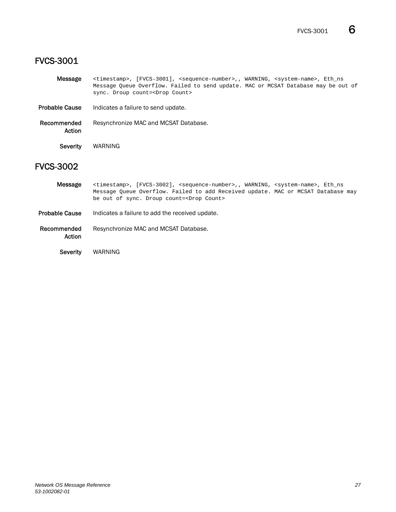

### FVCS-3001

| Message               | <timestamp>, [FVCS-3001], <sequence-number>,, WARNING, <system-name>, Eth_ns<br/>Message Queue Overflow. Failed to send update. MAC or MCSAT Database may be out of<br/>sync. Droup count=<drop count=""></drop></system-name></sequence-number></timestamp>         |
|-----------------------|----------------------------------------------------------------------------------------------------------------------------------------------------------------------------------------------------------------------------------------------------------------------|
| <b>Probable Cause</b> | Indicates a failure to send update.                                                                                                                                                                                                                                  |
| Recommended<br>Action | Resynchronize MAC and MCSAT Database.                                                                                                                                                                                                                                |
| <b>Severity</b>       | WARNING                                                                                                                                                                                                                                                              |
| <b>FVCS-3002</b>      |                                                                                                                                                                                                                                                                      |
| Message               | <timestamp>, [FVCS-3002], <sequence-number>,, WARNING, <system-name>, Eth_ns<br/>Message Queue Overflow. Failed to add Received update. MAC or MCSAT Database may<br/>be out of sync. Droup count=<drop count=""></drop></system-name></sequence-number></timestamp> |
| <b>Probable Cause</b> | Indicates a failure to add the received update.                                                                                                                                                                                                                      |
| Recommended<br>Action | Resynchronize MAC and MCSAT Database.                                                                                                                                                                                                                                |
| <b>Severity</b>       | WARNING                                                                                                                                                                                                                                                              |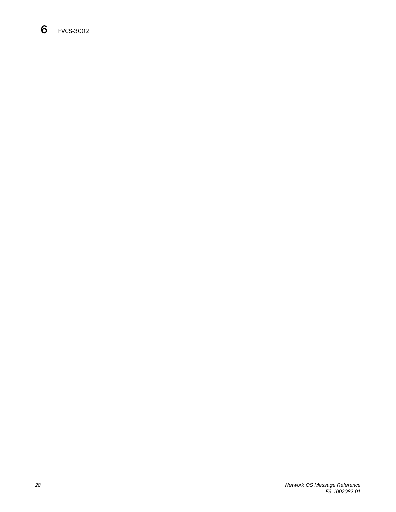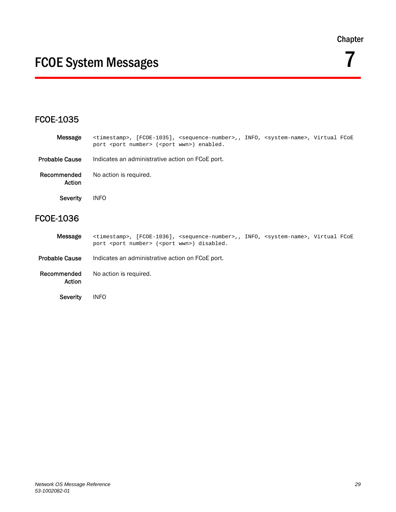## FCOE-1035

| Message               | <timestamp>, [FCOE-1035], <sequence-number>,, INFO, <system-name>, Virtual FCoE<br/>port <port number=""> (<port wwn="">) enabled.</port></port></system-name></sequence-number></timestamp>  |
|-----------------------|-----------------------------------------------------------------------------------------------------------------------------------------------------------------------------------------------|
| <b>Probable Cause</b> | Indicates an administrative action on FCoE port.                                                                                                                                              |
| Recommended<br>Action | No action is required.                                                                                                                                                                        |
| <b>Severity</b>       | <b>INFO</b>                                                                                                                                                                                   |
| <b>FCOE-1036</b>      |                                                                                                                                                                                               |
| Message               | <timestamp>, [FCOE-1036], <sequence-number>,, INFO, <system-name>, Virtual FCoE<br/>port <port number=""> (<port wwn="">) disabled.</port></port></system-name></sequence-number></timestamp> |
| <b>Probable Cause</b> | Indicates an administrative action on FCoE port.                                                                                                                                              |
| Recommended<br>Action | No action is required.                                                                                                                                                                        |
| <b>Severity</b>       | <b>INFO</b>                                                                                                                                                                                   |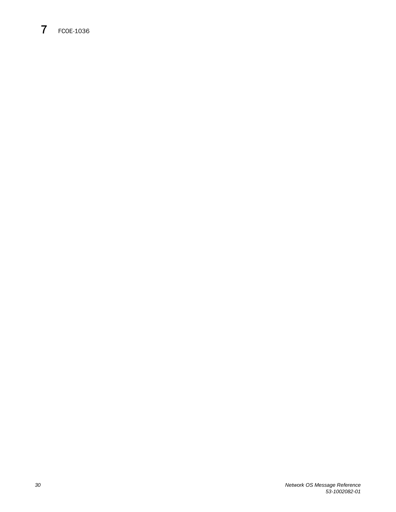FCOE-1036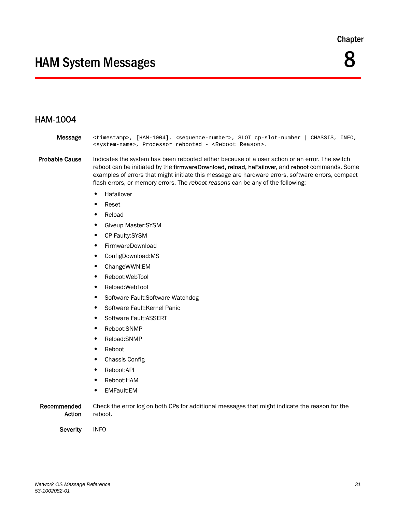### HAM-1004

| Message               | <timestamp>, [HAM-1004], <sequence-number>, SLOT cp-slot-number   CHASSIS, INFO,<br/><system-name>, Processor rebooted - <reboot reason="">.</reboot></system-name></sequence-number></timestamp>                                                                                                                                                                                        |
|-----------------------|------------------------------------------------------------------------------------------------------------------------------------------------------------------------------------------------------------------------------------------------------------------------------------------------------------------------------------------------------------------------------------------|
| <b>Probable Cause</b> | Indicates the system has been rebooted either because of a user action or an error. The switch<br>reboot can be initiated by the firmwareDownload, reload, haFailover, and reboot commands. Some<br>examples of errors that might initiate this message are hardware errors, software errors, compact<br>flash errors, or memory errors. The reboot reasons can be any of the following: |
|                       | Hafailover<br>٠                                                                                                                                                                                                                                                                                                                                                                          |
|                       | Reset<br>٠                                                                                                                                                                                                                                                                                                                                                                               |
|                       | Reload<br>٠                                                                                                                                                                                                                                                                                                                                                                              |
|                       | Giveup Master:SYSM<br>٠                                                                                                                                                                                                                                                                                                                                                                  |
|                       | CP Faulty:SYSM<br>٠                                                                                                                                                                                                                                                                                                                                                                      |
|                       | FirmwareDownload<br>٠                                                                                                                                                                                                                                                                                                                                                                    |
|                       | ConfigDownload:MS<br>٠                                                                                                                                                                                                                                                                                                                                                                   |
|                       | ChangeWWN:EM                                                                                                                                                                                                                                                                                                                                                                             |
|                       | Reboot: WebTool<br>٠                                                                                                                                                                                                                                                                                                                                                                     |
|                       | Reload: WebTool<br>٠                                                                                                                                                                                                                                                                                                                                                                     |
|                       | Software Fault:Software Watchdog<br>٠                                                                                                                                                                                                                                                                                                                                                    |
|                       | Software Fault: Kernel Panic                                                                                                                                                                                                                                                                                                                                                             |
|                       | Software Fault: ASSERT<br>٠                                                                                                                                                                                                                                                                                                                                                              |
|                       | Reboot:SNMP<br>٠                                                                                                                                                                                                                                                                                                                                                                         |
|                       | Reload:SNMP<br>٠                                                                                                                                                                                                                                                                                                                                                                         |
|                       | Reboot<br>٠                                                                                                                                                                                                                                                                                                                                                                              |
|                       | <b>Chassis Config</b><br>٠                                                                                                                                                                                                                                                                                                                                                               |
|                       | Reboot:API<br>٠                                                                                                                                                                                                                                                                                                                                                                          |
|                       | Reboot:HAM<br>٠                                                                                                                                                                                                                                                                                                                                                                          |
|                       | <b>EMFault:EM</b><br>٠                                                                                                                                                                                                                                                                                                                                                                   |

Severity INFO

Recommended Action Check the error log on both CPs for additional messages that might indicate the reason for the reboot.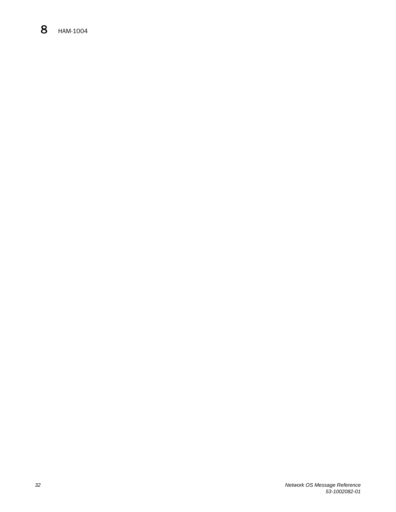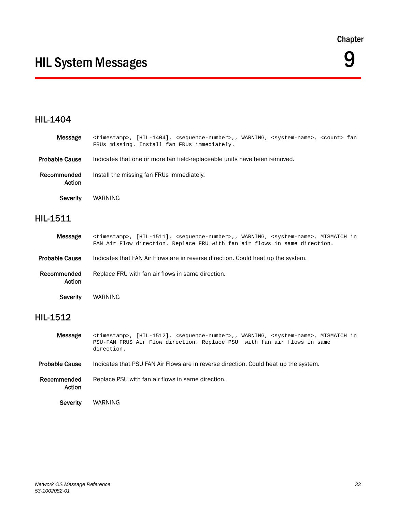**Chapter** 

### HIL-1404

| Message               | <timestamp>, [HIL-1404], <sequence-number>,, WARNING, <system-name>, <count> fan<br/>FRUs missing. Install fan FRUs immediately.</count></system-name></sequence-number></timestamp> |
|-----------------------|--------------------------------------------------------------------------------------------------------------------------------------------------------------------------------------|
| <b>Probable Cause</b> | Indicates that one or more fan field-replaceable units have been removed.                                                                                                            |
| Recommended<br>Action | Install the missing fan FRUs immediately.                                                                                                                                            |
| <b>Severity</b>       | WARNING                                                                                                                                                                              |
|                       |                                                                                                                                                                                      |

## HIL-1511

| Message               | <timestamp>, [HIL-1511], <sequence-number>,, WARNING, <system-name>, MISMATCH in<br/>FAN Air Flow direction. Replace FRU with fan air flows in same direction.</system-name></sequence-number></timestamp> |
|-----------------------|------------------------------------------------------------------------------------------------------------------------------------------------------------------------------------------------------------|
| <b>Probable Cause</b> | Indicates that FAN Air Flows are in reverse direction. Could heat up the system.                                                                                                                           |
| Recommended<br>Action | Replace FRU with fan air flows in same direction.                                                                                                                                                          |
| Severity              | WARNING                                                                                                                                                                                                    |

# HIL-1512

| Message               | <timestamp>, [HIL-1512], <sequence-number>,, WARNING, <system-name>, MISMATCH in<br/>PSU-FAN FRUS Air Flow direction. Replace PSU with fan air flows in same<br/>direction.</system-name></sequence-number></timestamp> |
|-----------------------|-------------------------------------------------------------------------------------------------------------------------------------------------------------------------------------------------------------------------|
| <b>Probable Cause</b> | Indicates that PSU FAN Air Flows are in reverse direction. Could heat up the system.                                                                                                                                    |
| Recommended<br>Action | Replace PSU with fan air flows in same direction.                                                                                                                                                                       |
| <b>Severity</b>       | WARNING                                                                                                                                                                                                                 |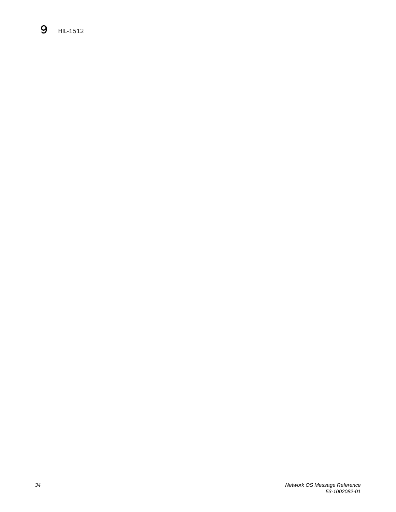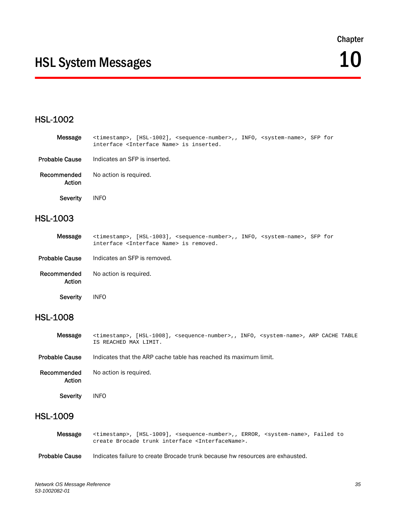### HSL-1002

| Message               | <timestamp>, [HSL-1002], <sequence-number>,, INFO, <system-name>, SFP for<br/>interface <interface name=""> is inserted.</interface></system-name></sequence-number></timestamp> |
|-----------------------|----------------------------------------------------------------------------------------------------------------------------------------------------------------------------------|
| <b>Probable Cause</b> | Indicates an SFP is inserted.                                                                                                                                                    |
| Recommended<br>Action | No action is required.                                                                                                                                                           |
| <b>Severity</b>       | <b>INFO</b>                                                                                                                                                                      |
| <b>HSL-1003</b>       |                                                                                                                                                                                  |
| Message               | <timestamp>, [HSL-1003], <sequence-number>,, INFO, <system-name>, SFP for<br/>interface <interface name=""> is removed.</interface></system-name></sequence-number></timestamp>  |
| <b>Probable Cause</b> | Indicates an SFP is removed.                                                                                                                                                     |
| Recommended<br>Action | No action is required.                                                                                                                                                           |
|                       |                                                                                                                                                                                  |
| <b>Severity</b>       | <b>INFO</b>                                                                                                                                                                      |
| <b>HSL-1008</b>       |                                                                                                                                                                                  |
| Message               | <timestamp>, [HSL-1008], <sequence-number>,, INFO, <system-name>, ARP CACHE TABLE<br/>IS REACHED MAX LIMIT.</system-name></sequence-number></timestamp>                          |
| <b>Probable Cause</b> | Indicates that the ARP cache table has reached its maximum limit.                                                                                                                |
| Recommended<br>Action | No action is required.                                                                                                                                                           |
| <b>Severity</b>       | <b>INFO</b>                                                                                                                                                                      |
| <b>HSL-1009</b>       |                                                                                                                                                                                  |

Probable Cause Indicates failure to create Brocade trunk because hw resources are exhausted.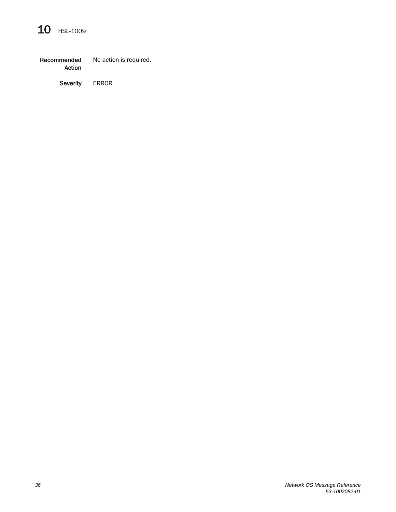# 10 **HSL-1009**

Recommended Action No action is required. Severity **ERROR**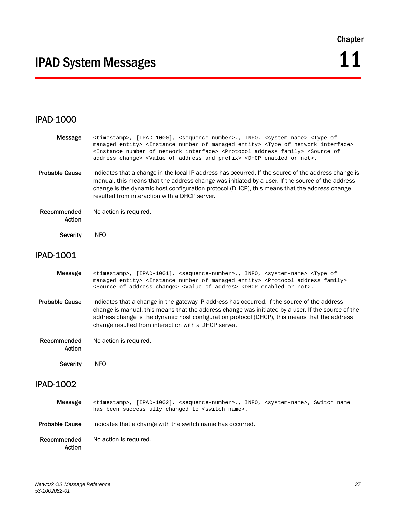### IPAD-1000

| Message               | <timestamp>, [IPAD-1000], <sequence-number>,, INFO, <system-name> <type of<br="">managed entity&gt; <instance entity="" managed="" number="" of=""> <type interface="" network="" of=""><br/><instance interface="" network="" number="" of=""> <protocol address="" family=""> <source of<br=""/>address change&gt; <value address="" and="" of="" prefix=""> <dhcp enabled="" not="" or="">.</dhcp></value></protocol></instance></type></instance></type></system-name></sequence-number></timestamp> |
|-----------------------|----------------------------------------------------------------------------------------------------------------------------------------------------------------------------------------------------------------------------------------------------------------------------------------------------------------------------------------------------------------------------------------------------------------------------------------------------------------------------------------------------------|
| <b>Probable Cause</b> | Indicates that a change in the local IP address has occurred. If the source of the address change is<br>manual, this means that the address change was initiated by a user. If the source of the address<br>change is the dynamic host configuration protocol (DHCP), this means that the address change<br>resulted from interaction with a DHCP server.                                                                                                                                                |
| Recommended<br>Action | No action is required.                                                                                                                                                                                                                                                                                                                                                                                                                                                                                   |
| <b>Severity</b>       | <b>INFO</b>                                                                                                                                                                                                                                                                                                                                                                                                                                                                                              |
| <b>IPAD-1001</b>      |                                                                                                                                                                                                                                                                                                                                                                                                                                                                                                          |
| Message               | <timestamp>, [IPAD-1001], <sequence-number>,, INFO, <system-name> <type of<br="">managed entity&gt; <instance entity="" managed="" number="" of=""> <protocol address="" family=""><br/><source address="" change="" of=""/> <value addres="" of=""> <dhcp enabled="" not="" or="">.</dhcp></value></protocol></instance></type></system-name></sequence-number></timestamp>                                                                                                                             |
| <b>Probable Cause</b> | Indicates that a change in the gateway IP address has occurred. If the source of the address<br>change is manual, this means that the address change was initiated by a user. If the source of the<br>address change is the dynamic host configuration protocol (DHCP), this means that the address<br>change resulted from interaction with a DHCP server.                                                                                                                                              |
| Recommended<br>Action | No action is required.                                                                                                                                                                                                                                                                                                                                                                                                                                                                                   |
| <b>Severity</b>       | <b>INFO</b>                                                                                                                                                                                                                                                                                                                                                                                                                                                                                              |
| <b>IPAD-1002</b>      |                                                                                                                                                                                                                                                                                                                                                                                                                                                                                                          |
| Message               | <timestamp>, [IPAD-1002], <sequence-number>,, INFO, <system-name>, Switch name<br/>has been successfully changed to <switch name="">.</switch></system-name></sequence-number></timestamp>                                                                                                                                                                                                                                                                                                               |
| <b>Probable Cause</b> | Indicates that a change with the switch name has occurred.                                                                                                                                                                                                                                                                                                                                                                                                                                               |
| Recommended<br>Action | No action is required.                                                                                                                                                                                                                                                                                                                                                                                                                                                                                   |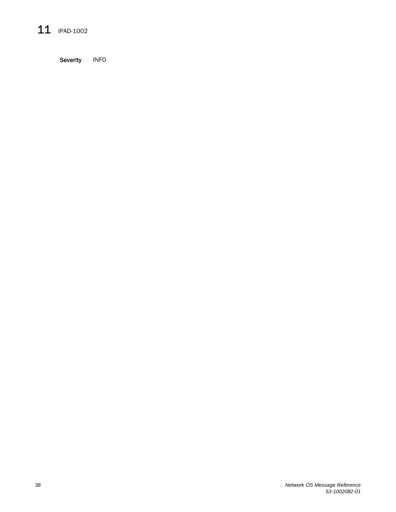11 IPAD-1002

Severity INFO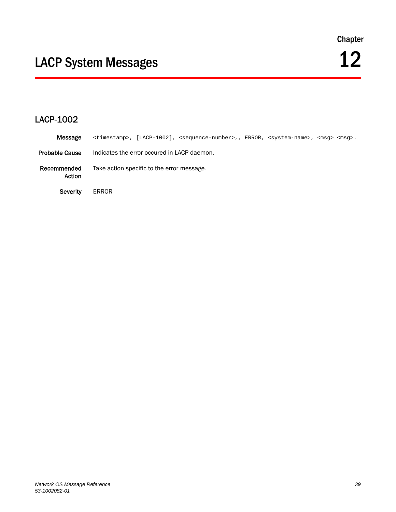### LACP-1002

Message <timestamp>, [LACP-1002], <sequence-number>,, ERROR, <system-name>, <msg> <msg>. Probable Cause Indicates the error occured in LACP daemon. Recommended Action Take action specific to the error message. Severity **ERROR**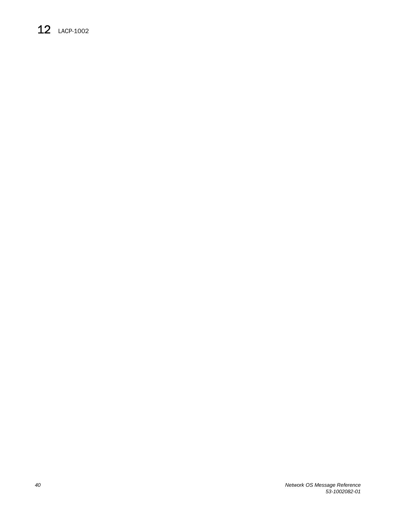# 12 LACP-1002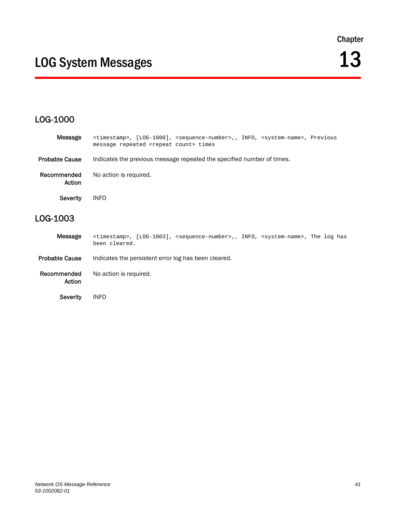# LOG-1000

| Message               | <timestamp>, [LOG-1000], <sequence-number>,, INFO, <system-name>, Previous<br/>message repeated <repeat count=""> times</repeat></system-name></sequence-number></timestamp> |  |  |  |  |  |  |  |
|-----------------------|------------------------------------------------------------------------------------------------------------------------------------------------------------------------------|--|--|--|--|--|--|--|
| <b>Probable Cause</b> | Indicates the previous message repeated the specified number of times.                                                                                                       |  |  |  |  |  |  |  |
| Recommended<br>Action | No action is required.                                                                                                                                                       |  |  |  |  |  |  |  |
| <b>Severity</b>       | <b>INFO</b>                                                                                                                                                                  |  |  |  |  |  |  |  |
| LOG-1003              |                                                                                                                                                                              |  |  |  |  |  |  |  |
| Message               | <timestamp>, [LOG-1003], <sequence-number>,, INFO, <system-name>, The log has<br/>been cleared.</system-name></sequence-number></timestamp>                                  |  |  |  |  |  |  |  |
| <b>Probable Cause</b> | Indicates the persistent error log has been cleared.                                                                                                                         |  |  |  |  |  |  |  |
| Recommended<br>Action | No action is required.                                                                                                                                                       |  |  |  |  |  |  |  |
| <b>Severity</b>       | <b>INFO</b>                                                                                                                                                                  |  |  |  |  |  |  |  |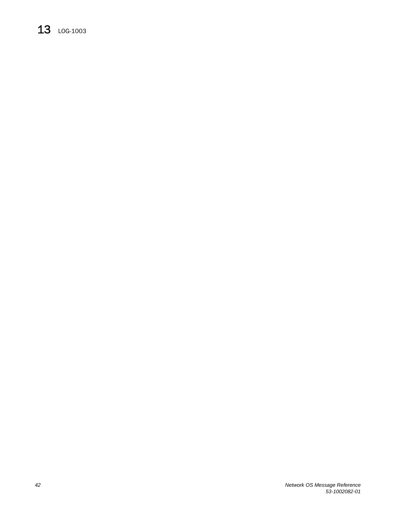# 13 LOG-1003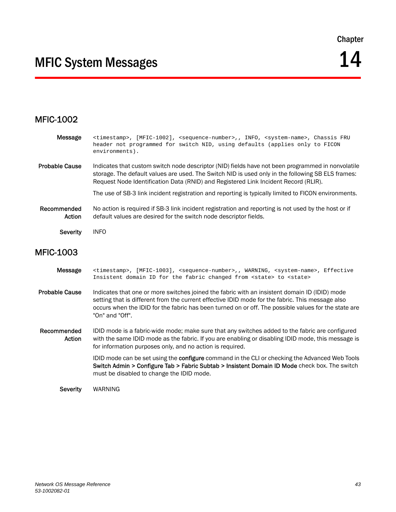### MFIC-1002

| Message               | <timestamp>, [MFIC-1002], <sequence-number>,, INFO, <system-name>, Chassis FRU<br/>header not programmed for switch NID, using defaults (applies only to FICON<br/>environments).</system-name></sequence-number></timestamp>                                                                                                |  |  |  |  |  |  |  |  |  |
|-----------------------|------------------------------------------------------------------------------------------------------------------------------------------------------------------------------------------------------------------------------------------------------------------------------------------------------------------------------|--|--|--|--|--|--|--|--|--|
| <b>Probable Cause</b> | Indicates that custom switch node descriptor (NID) fields have not been programmed in nonvolatile<br>storage. The default values are used. The Switch NID is used only in the following SB ELS frames:<br>Request Node Identification Data (RNID) and Registered Link Incident Record (RLIR).                                |  |  |  |  |  |  |  |  |  |
|                       | The use of SB-3 link incident registration and reporting is typically limited to FICON environments.                                                                                                                                                                                                                         |  |  |  |  |  |  |  |  |  |
| Recommended<br>Action | No action is required if SB-3 link incident registration and reporting is not used by the host or if<br>default values are desired for the switch node descriptor fields.                                                                                                                                                    |  |  |  |  |  |  |  |  |  |
| <b>Severity</b>       | <b>INFO</b>                                                                                                                                                                                                                                                                                                                  |  |  |  |  |  |  |  |  |  |
| <b>MFIC-1003</b>      |                                                                                                                                                                                                                                                                                                                              |  |  |  |  |  |  |  |  |  |
| Message               | <timestamp>, [MFIC-1003], <sequence-number>,, WARNING, <system-name>, Effective<br/>Insistent domain ID for the fabric changed from <state> to <state></state></state></system-name></sequence-number></timestamp>                                                                                                           |  |  |  |  |  |  |  |  |  |
| <b>Probable Cause</b> | Indicates that one or more switches joined the fabric with an insistent domain ID (IDID) mode<br>setting that is different from the current effective IDID mode for the fabric. This message also<br>occurs when the IDID for the fabric has been turned on or off. The possible values for the state are<br>"On" and "Off". |  |  |  |  |  |  |  |  |  |
| Recommended<br>Action | IDID mode is a fabric-wide mode; make sure that any switches added to the fabric are configured<br>with the same IDID mode as the fabric. If you are enabling or disabling IDID mode, this message is<br>for information purposes only, and no action is required.                                                           |  |  |  |  |  |  |  |  |  |
|                       | IDID mode can be set using the configure command in the CLI or checking the Advanced Web Tools<br>Switch Admin > Configure Tab > Fabric Subtab > Insistent Domain ID Mode check box. The switch<br>must be disabled to change the IDID mode.                                                                                 |  |  |  |  |  |  |  |  |  |
| <b>Severity</b>       | WARNING                                                                                                                                                                                                                                                                                                                      |  |  |  |  |  |  |  |  |  |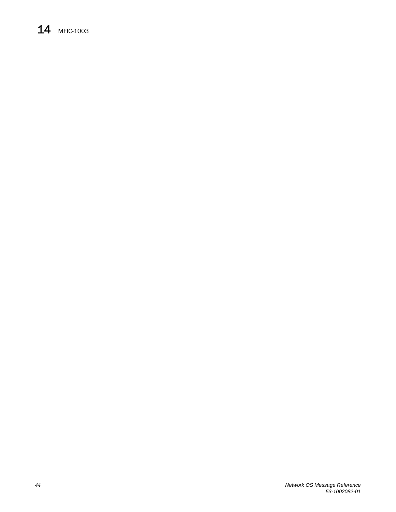# 14 MFIC-1003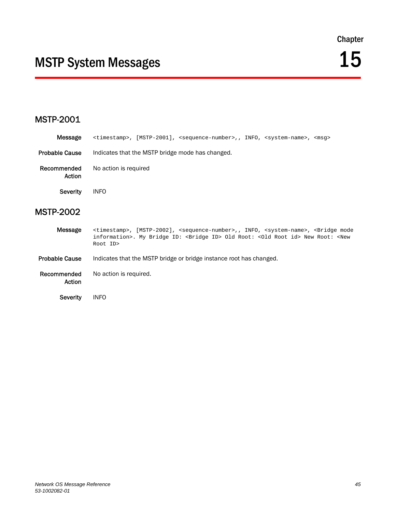## MSTP-2001

| Message               | <timestamp>, [MSTP-2001], <sequence-number>,, INFO, <system-name>, <msg></msg></system-name></sequence-number></timestamp>                                                                                                                                                   |  |  |  |  |  |  |
|-----------------------|------------------------------------------------------------------------------------------------------------------------------------------------------------------------------------------------------------------------------------------------------------------------------|--|--|--|--|--|--|
| <b>Probable Cause</b> | Indicates that the MSTP bridge mode has changed.                                                                                                                                                                                                                             |  |  |  |  |  |  |
| Recommended<br>Action | No action is required                                                                                                                                                                                                                                                        |  |  |  |  |  |  |
| <b>Severity</b>       | <b>INFO</b>                                                                                                                                                                                                                                                                  |  |  |  |  |  |  |
| <b>MSTP-2002</b>      |                                                                                                                                                                                                                                                                              |  |  |  |  |  |  |
| Message               | <timestamp>, [MSTP-2002], <sequence-number>,, INFO, <system-name>, <bridge mode<br="">information&gt;. My Bridge ID: <bridge id=""> Old Root: <old id="" root=""> New Root: <new<br>Root ID&gt;</new<br></old></bridge></bridge></system-name></sequence-number></timestamp> |  |  |  |  |  |  |
| <b>Probable Cause</b> | Indicates that the MSTP bridge or bridge instance root has changed.                                                                                                                                                                                                          |  |  |  |  |  |  |
| Recommended<br>Action | No action is required.                                                                                                                                                                                                                                                       |  |  |  |  |  |  |
| <b>Severity</b>       | <b>INFO</b>                                                                                                                                                                                                                                                                  |  |  |  |  |  |  |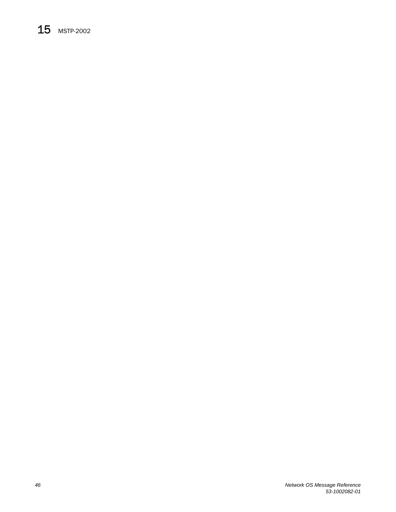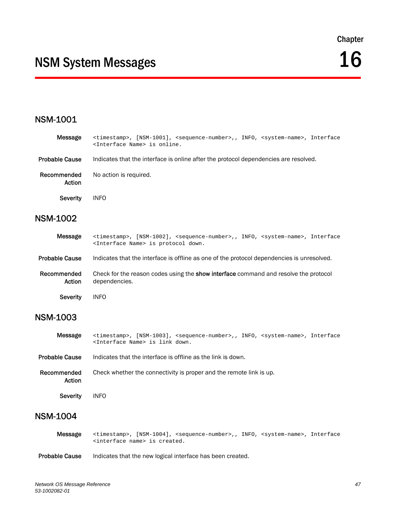### NSM-1001

| Message               | <timestamp>, [NSM-1001], <sequence-number>,, INFO, <system-name>, Interface<br/><interface name=""> is online.</interface></system-name></sequence-number></timestamp>        |  |  |  |  |  |  |  |
|-----------------------|-------------------------------------------------------------------------------------------------------------------------------------------------------------------------------|--|--|--|--|--|--|--|
| <b>Probable Cause</b> | Indicates that the interface is online after the protocol dependencies are resolved.                                                                                          |  |  |  |  |  |  |  |
| Recommended<br>Action | No action is required.                                                                                                                                                        |  |  |  |  |  |  |  |
| <b>Severity</b>       | <b>INFO</b>                                                                                                                                                                   |  |  |  |  |  |  |  |
| <b>NSM-1002</b>       |                                                                                                                                                                               |  |  |  |  |  |  |  |
| Message               | <timestamp>, [NSM-1002], <sequence-number>,, INFO, <system-name>, Interface<br/><interface name=""> is protocol down.</interface></system-name></sequence-number></timestamp> |  |  |  |  |  |  |  |
| <b>Probable Cause</b> | Indicates that the interface is offline as one of the protocol dependencies is unresolved.                                                                                    |  |  |  |  |  |  |  |
| Recommended<br>Action | Check for the reason codes using the show interface command and resolve the protocol<br>dependencies.                                                                         |  |  |  |  |  |  |  |
| <b>Severity</b>       | <b>INFO</b>                                                                                                                                                                   |  |  |  |  |  |  |  |
| <b>NSM-1003</b>       |                                                                                                                                                                               |  |  |  |  |  |  |  |
| Message               | <timestamp>, [NSM-1003], <sequence-number>,, INFO, <system-name>, Interface<br/><interface name=""> is link down.</interface></system-name></sequence-number></timestamp>     |  |  |  |  |  |  |  |
| <b>Probable Cause</b> | Indicates that the interface is offline as the link is down.                                                                                                                  |  |  |  |  |  |  |  |
| Recommended<br>Action | Check whether the connectivity is proper and the remote link is up.                                                                                                           |  |  |  |  |  |  |  |
| <b>Severity</b>       | <b>INFO</b>                                                                                                                                                                   |  |  |  |  |  |  |  |

### NSM-1004

| <b>Message</b> <timestamp>, [NSM-1004], <sequence-number>,, INFO, <system-name>, Interface</system-name></sequence-number></timestamp> |
|----------------------------------------------------------------------------------------------------------------------------------------|
| <interface name=""> is created.</interface>                                                                                            |

Probable Cause Indicates that the new logical interface has been created.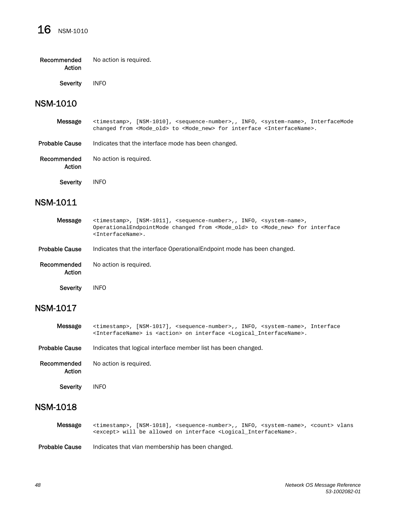16 NSM-1010

| Recommended | No action is required. |
|-------------|------------------------|
| Action      |                        |

Severity INFO

#### NSM-1010

| Message               | <timestamp>, [NSM-1010], <sequence-number>,, INFO, <system-name>, InterfaceMode<br/>changed from <mode old=""> to <mode new=""> for interface <interfacename>.</interfacename></mode></mode></system-name></sequence-number></timestamp> |
|-----------------------|------------------------------------------------------------------------------------------------------------------------------------------------------------------------------------------------------------------------------------------|
| Probable Cause        | Indicates that the interface mode has been changed.                                                                                                                                                                                      |
| Recommended<br>Action | No action is required.                                                                                                                                                                                                                   |
| Severity              | <b>INFO</b>                                                                                                                                                                                                                              |

#### NSM-1011

| Message               | <timestamp>, [NSM-1011], <sequence-number>,, INFO, <system-name>,<br/>OperationalEndpointMode changed from <mode old=""> to <mode new=""> for interface<br/><interfacename>.</interfacename></mode></mode></system-name></sequence-number></timestamp> |
|-----------------------|--------------------------------------------------------------------------------------------------------------------------------------------------------------------------------------------------------------------------------------------------------|
| Probable Cause        | Indicates that the interface Operational Endpoint mode has been changed.                                                                                                                                                                               |
| Recommended<br>Action | No action is required.                                                                                                                                                                                                                                 |
| Severity              | <b>INFO</b>                                                                                                                                                                                                                                            |

## NSM-1017

| <b>Message</b> <timestamp>, [NSM-1017], <sequence-number>,, INFO, <system-name>, Interface</system-name></sequence-number></timestamp> |  |
|----------------------------------------------------------------------------------------------------------------------------------------|--|
| <interfacename> is <action> on interface <logical interfacename="">.</logical></action></interfacename>                                |  |

Probable Cause Indicates that logical interface member list has been changed.

Recommended Action No action is required.

Severity INFO

#### NSM-1018

Message <timestamp>, [NSM-1018], <sequence-number>,, INFO, <system-name>, <count> vlans <except> will be allowed on interface <Logical\_InterfaceName>.

Probable Cause Indicates that vlan membership has been changed.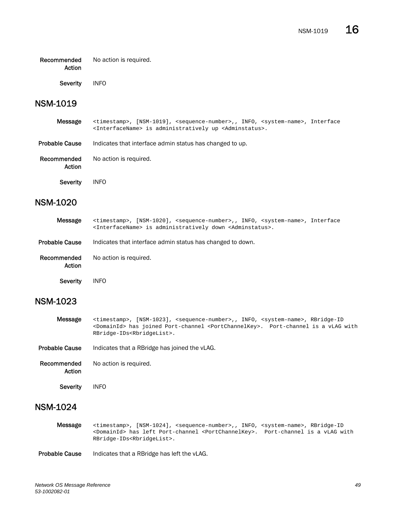| Recommended | No action is required. |
|-------------|------------------------|
| Action      |                        |

Severity INFO

#### NSM-1019

| Message               | <timestamp>, [NSM-1019], <sequence-number>,, INFO, <system-name>, Interface<br/><interfacename> is administratively up <adminstatus>.</adminstatus></interfacename></system-name></sequence-number></timestamp> |
|-----------------------|-----------------------------------------------------------------------------------------------------------------------------------------------------------------------------------------------------------------|
| <b>Probable Cause</b> | Indicates that interface admin status has changed to up.                                                                                                                                                        |
| Recommended<br>Action | No action is required.                                                                                                                                                                                          |
| Severity              | <b>INFO</b>                                                                                                                                                                                                     |

#### NSM-1020

| <b>Message</b> <timestamp>, [NSM-1020], <sequence-number>,, INFO, <system-name>, Interface</system-name></sequence-number></timestamp> |  |  |  |
|----------------------------------------------------------------------------------------------------------------------------------------|--|--|--|
| <interfacename> is administratively down <adminstatus>.</adminstatus></interfacename>                                                  |  |  |  |

Probable Cause Indicates that interface admin status has changed to down.

Recommended Action No action is required.

Severity INFO

### NSM-1023

- Message <timestamp>, [NSM-1023], <sequence-number>,, INFO, <system-name>, RBridge-ID <DomainId> has joined Port-channel <PortChannelKey>. Port-channel is a vLAG with RBridge-IDs<RbridgeList>.
- Probable Cause Indicates that a RBridge has joined the vLAG.

Recommended Action No action is required.

Severity INFO

#### NSM-1024

Message <timestamp>, [NSM-1024], <sequence-number>,, INFO, <system-name>, RBridge-ID <DomainId> has left Port-channel <PortChannelKey>. Port-channel is a vLAG with RBridge-IDs<RbridgeList>.

Probable Cause Indicates that a RBridge has left the vLAG.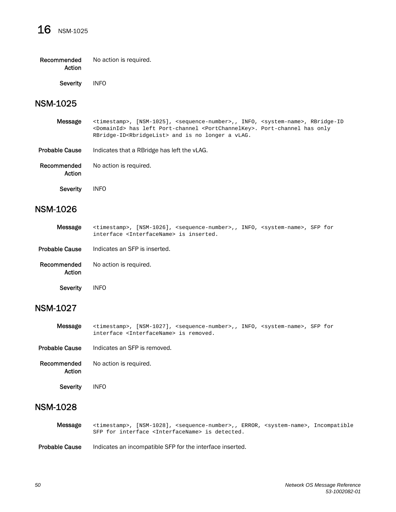16 NSM-1025

| Recommended | No action is required. |
|-------------|------------------------|
| Action      |                        |

Severity INFO

#### NSM-1025

| Message               | <timestamp>, [NSM-1025], <sequence-number>,, INFO, <system-name>, RBridge-ID<br/><domainid> has left Port-channel <portchannelkey>. Port-channel has only<br/>RBridge-ID<rbridgelist> and is no longer a vLAG.</rbridgelist></portchannelkey></domainid></system-name></sequence-number></timestamp> |
|-----------------------|------------------------------------------------------------------------------------------------------------------------------------------------------------------------------------------------------------------------------------------------------------------------------------------------------|
| <b>Probable Cause</b> | Indicates that a RBridge has left the vLAG.                                                                                                                                                                                                                                                          |
| Recommended<br>Action | No action is required.                                                                                                                                                                                                                                                                               |
| <b>Severity</b>       | <b>INFO</b>                                                                                                                                                                                                                                                                                          |
|                       |                                                                                                                                                                                                                                                                                                      |

#### NSM-1026

| <b>Message</b> <timestamp>, [NSM-1026], <sequence-number>,, INFO, <system-name>, SFP for</system-name></sequence-number></timestamp> |  |  |  |
|--------------------------------------------------------------------------------------------------------------------------------------|--|--|--|
| interface <interfacename> is inserted.</interfacename>                                                                               |  |  |  |

| <b>Probable Cause</b> | Indicates an SFP is inserted. |
|-----------------------|-------------------------------|
| Recommended<br>Action | No action is required.        |
| <b>Severity</b>       | <b>INFO</b>                   |

#### NSM-1027

Message <timestamp>, [NSM-1027], <sequence-number>,, INFO, <system-name>, SFP for interface <InterfaceName> is removed.

Probable Cause Indicates an SFP is removed.

Recommended Action No action is required.

Severity INFO

#### NSM-1028

Message <timestamp>, [NSM-1028], <sequence-number>,, ERROR, <system-name>, Incompatible SFP for interface <InterfaceName> is detected.

Probable Cause Indicates an incompatible SFP for the interface inserted.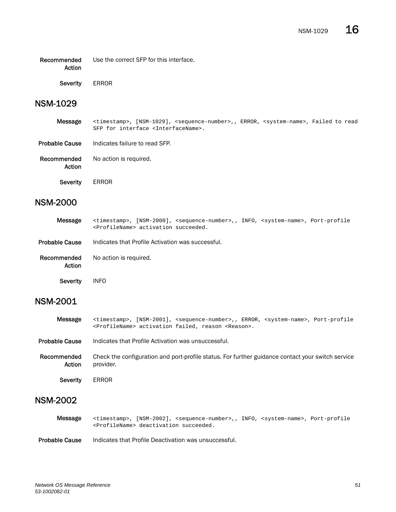Recommended Action Use the correct SFP for this interface.

Severity **ERROR** 

#### NSM-1029

Message <timestamp>, [NSM-1029], <sequence-number>,, ERROR, <system-name>, Failed to read SFP for interface <InterfaceName>. **Probable Cause** Indicates failure to read SFP. Recommended Action No action is required. Severity **ERROR** NSM-2000

#### Message <timestamp>, [NSM-2000], <sequence-number>,, INFO, <system-name>, Port-profile <ProfileName> activation succeeded.

- Probable Cause Indicates that Profile Activation was successful.
- Recommended Action No action is required.
	- Severity INFO

#### NSM-2001

- Message <timestamp>, [NSM-2001], <sequence-number>,, ERROR, <system-name>, Port-profile <ProfileName> activation failed, reason <Reason>.
- Probable Cause Indicates that Profile Activation was unsuccessful.
- Recommended Action Check the configuration and port-profile status. For further guidance contact your switch service provider.

Severity **ERROR** 

#### NSM-2002

- Message <timestamp>, [NSM-2002], <sequence-number>,, INFO, <system-name>, Port-profile <ProfileName> deactivation succeeded.
- Probable Cause Indicates that Profile Deactivation was unsuccessful.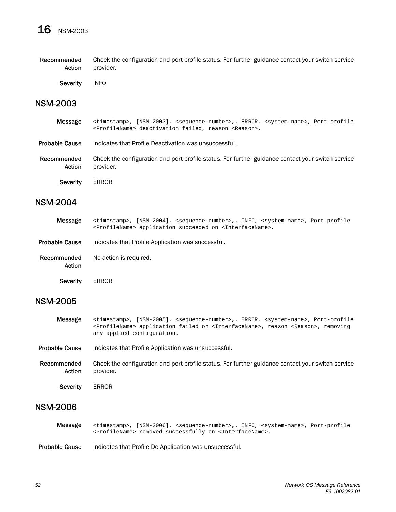Recommended Action Check the configuration and port-profile status. For further guidance contact your switch service provider.

Severity INFO

#### NSM-2003

| Message               | <timestamp>, [NSM-2003], <sequence-number>,, ERROR, <system-name>, Port-profile<br/><profilename> deactivation failed, reason <reason>.</reason></profilename></system-name></sequence-number></timestamp> |
|-----------------------|------------------------------------------------------------------------------------------------------------------------------------------------------------------------------------------------------------|
| Probable Cause        | Indicates that Profile Deactivation was unsuccessful.                                                                                                                                                      |
| Recommended<br>Action | Check the configuration and port-profile status. For further guidance contact your switch service<br>provider.                                                                                             |
| Severity              | ERROR                                                                                                                                                                                                      |

#### NSM-2004

- Message <timestamp>, [NSM-2004], <sequence-number>,, INFO, <system-name>, Port-profile <ProfileName> application succeeded on <InterfaceName>.
- Probable Cause Indicates that Profile Application was successful.
- Recommended Action No action is required.
	- Severity **ERROR**

#### NSM-2005

- Message <timestamp>, [NSM-2005], <sequence-number>,, ERROR, <system-name>, Port-profile <ProfileName> application failed on <InterfaceName>, reason <Reason>, removing any applied configuration.
- Probable Cause Indicates that Profile Application was unsuccessful.
- Recommended Action Check the configuration and port-profile status. For further guidance contact your switch service provider.
	- Severity **ERROR**

#### NSM-2006

Message <timestamp>, [NSM-2006], <sequence-number>,, INFO, <system-name>, Port-profile <ProfileName> removed successfully on <InterfaceName>.

Probable Cause Indicates that Profile De-Application was unsuccessful.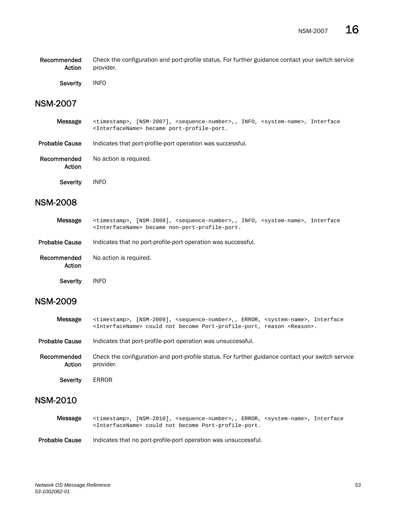Recommended Action Check the configuration and port-profile status. For further guidance contact your switch service provider.

Severity INFO

#### NSM-2007

| Message               | <timestamp>, [NSM-2007], <sequence-number>,, INFO, <system-name>, Interface<br/><interfacename> became port-profile-port.</interfacename></system-name></sequence-number></timestamp> |
|-----------------------|---------------------------------------------------------------------------------------------------------------------------------------------------------------------------------------|
| Probable Cause        | Indicates that port-profile-port operation was successful.                                                                                                                            |
| Recommended<br>Action | No action is required.                                                                                                                                                                |
| <b>Severity</b>       | <b>INFO</b>                                                                                                                                                                           |

#### NSM-2008

| Message | <timestamp>, [NSM-2008], <sequence-number>,, INFO, <system-name>, Interface</system-name></sequence-number></timestamp> |
|---------|-------------------------------------------------------------------------------------------------------------------------|
|         | <interfacename> became non-port-profile-port.</interfacename>                                                           |
| .       | the alternative and realize the commental file the commencement one commence of a common field                          |

| Indicates that no port-profile-port operation was successful.<br>Probable Cause |
|---------------------------------------------------------------------------------|
|                                                                                 |

Recommended Action No action is required.

Severity INFO

### NSM-2009

| <b>Message</b> <timestamp>, [NSM-2009], <sequence-number>,, ERROR, <system-name>, Interface</system-name></sequence-number></timestamp> |  |  |  |  |
|-----------------------------------------------------------------------------------------------------------------------------------------|--|--|--|--|
| <interfacename> could not become Port-profile-port, reason <reason>.</reason></interfacename>                                           |  |  |  |  |

- Probable Cause Indicates that port-profile-port operation was unsuccessful.
- Recommended Action Check the configuration and port-profile status. For further guidance contact your switch service provider.

Severity **ERROR** 

### NSM-2010

|  | <b>Message</b> <timestamp>, [NSM-2010], <sequence-number>,, ERROR, <system-name>, Interface</system-name></sequence-number></timestamp> |  |
|--|-----------------------------------------------------------------------------------------------------------------------------------------|--|
|  | <interfacename> could not become Port-profile-port.</interfacename>                                                                     |  |

Probable Cause Indicates that no port-profile-port operation was unsuccessful.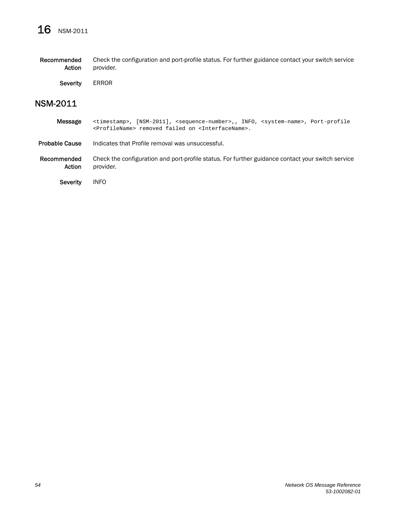Recommended Action Check the configuration and port-profile status. For further guidance contact your switch service provider.

Severity **ERROR** 

### NSM-2011

| Message               | <timestamp>, [NSM-2011], <sequence-number>,, INFO, <system-name>, Port-profile<br/><profilename> removed failed on <interfacename>.</interfacename></profilename></system-name></sequence-number></timestamp> |
|-----------------------|---------------------------------------------------------------------------------------------------------------------------------------------------------------------------------------------------------------|
| <b>Probable Cause</b> | Indicates that Profile removal was unsuccessful.                                                                                                                                                              |
| Recommended<br>Action | Check the configuration and port-profile status. For further guidance contact your switch service<br>provider.                                                                                                |
| Severity              | <b>INFO</b>                                                                                                                                                                                                   |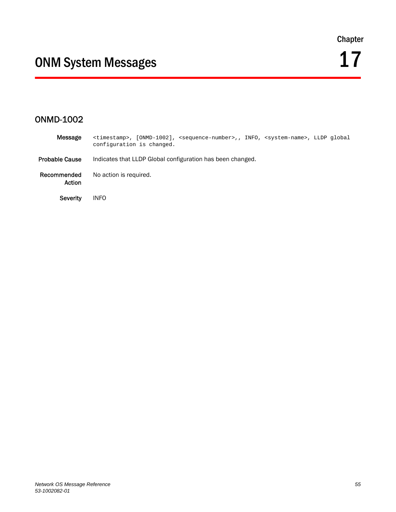# ONMD-1002

| Message               | <timestamp>, [ONMD-1002], <sequence-number>,, INFO, <system-name>, LLDP qlobal<br/>configuration is changed.</system-name></sequence-number></timestamp> |
|-----------------------|----------------------------------------------------------------------------------------------------------------------------------------------------------|
| <b>Probable Cause</b> | Indicates that LLDP Global configuration has been changed.                                                                                               |
| Recommended<br>Action | No action is required.                                                                                                                                   |
| Severity              | <b>INFO</b>                                                                                                                                              |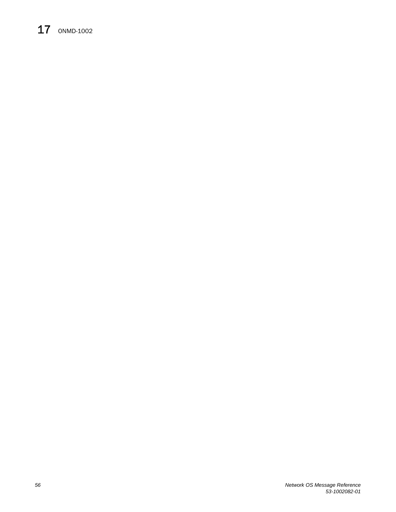# **ONMD-1002**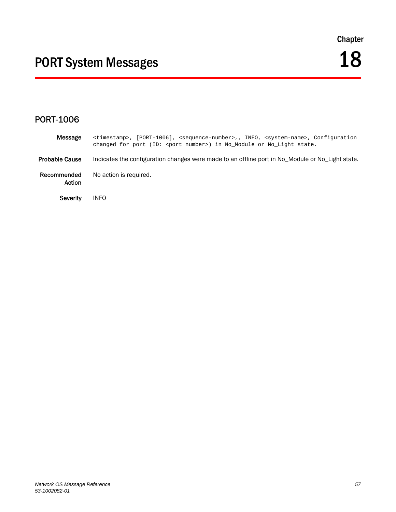## PORT-1006

| Message               | <timestamp>, [PORT-1006], <sequence-number>,, INFO, <system-name>, Configuration<br/>changed for port (ID: &lt; port number&gt;) in No_Module or No_Light state.</system-name></sequence-number></timestamp> |
|-----------------------|--------------------------------------------------------------------------------------------------------------------------------------------------------------------------------------------------------------|
| Probable Cause        | Indicates the configuration changes were made to an offline port in No Module or No Light state.                                                                                                             |
| Recommended<br>Action | No action is required.                                                                                                                                                                                       |
| <b>Severity</b>       | <b>INFO</b>                                                                                                                                                                                                  |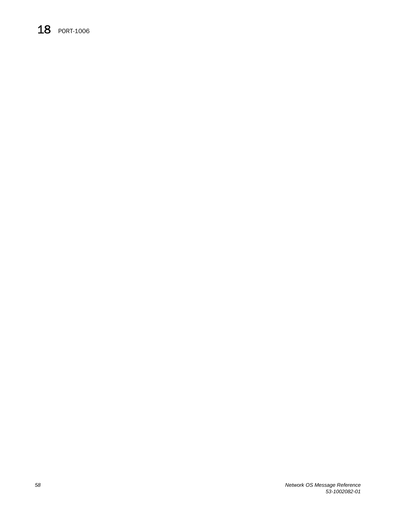18 PORT-1006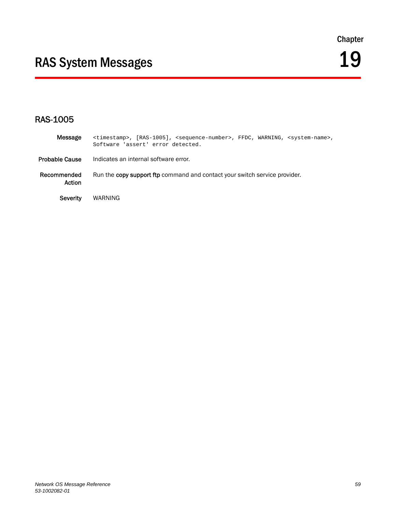#### RAS-1005

| Message               | <timestamp>, [RAS-1005], <sequence-number>, FFDC, WARNING, <system-name>,<br/>Software 'assert' error detected.</system-name></sequence-number></timestamp> |
|-----------------------|-------------------------------------------------------------------------------------------------------------------------------------------------------------|
| Probable Cause        | Indicates an internal software error.                                                                                                                       |
| Recommended<br>Action | Run the copy support ftp command and contact your switch service provider.                                                                                  |
| <b>Severity</b>       | WARNING                                                                                                                                                     |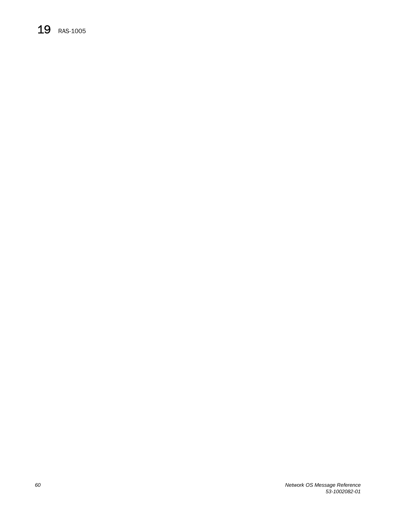19 RAS-1005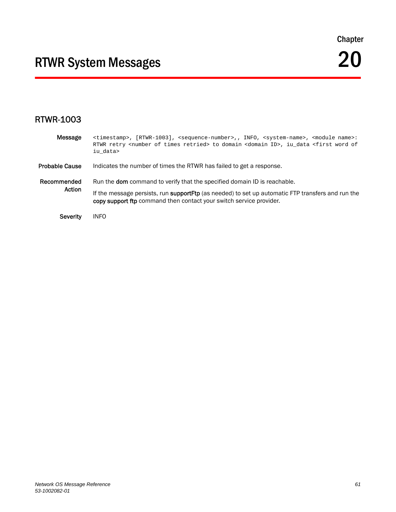#### RTWR-1003

| Message               | <timestamp>, [RTWR-1003], <sequence-number>,, INFO, <system-name>, <module name="">:<br/>RTWR retry <number of="" retried="" times=""> to domain <domain id="">, iu_data <first of<br="" word="">iu data&gt;</first></domain></number></module></system-name></sequence-number></timestamp> |
|-----------------------|---------------------------------------------------------------------------------------------------------------------------------------------------------------------------------------------------------------------------------------------------------------------------------------------|
| <b>Probable Cause</b> | Indicates the number of times the RTWR has failed to get a response.                                                                                                                                                                                                                        |
| Recommended<br>Action | Run the <b>dom</b> command to verify that the specified domain ID is reachable.<br>If the message persists, run supportFtp (as needed) to set up automatic FTP transfers and run the<br>copy support ftp command then contact your switch service provider.                                 |

Severity INFO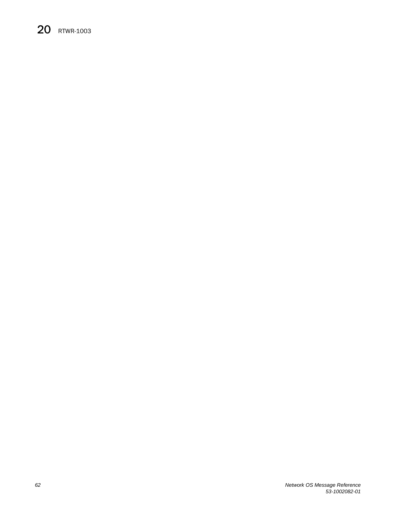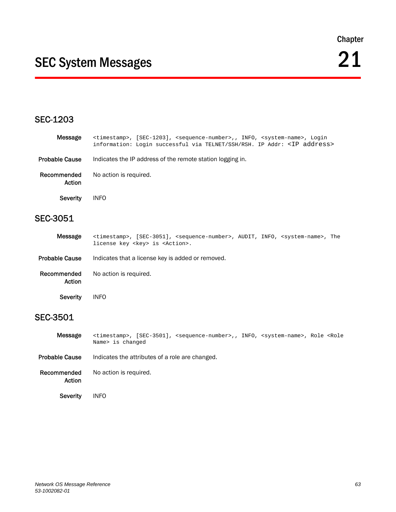#### SEC-1203

| Message               | <timestamp>, [SEC-1203], <sequence-number>,, INFO, <system-name>, Login<br/>information: Login successful via TELNET/SSH/RSH. IP Addr: <ip address=""></ip></system-name></sequence-number></timestamp> |
|-----------------------|---------------------------------------------------------------------------------------------------------------------------------------------------------------------------------------------------------|
| <b>Probable Cause</b> | Indicates the IP address of the remote station logging in.                                                                                                                                              |
| Recommended<br>Action | No action is required.                                                                                                                                                                                  |
| <b>Severity</b>       | <b>INFO</b>                                                                                                                                                                                             |
| <b>SEC-3051</b>       |                                                                                                                                                                                                         |
| Message               | <timestamp>, [SEC-3051], <sequence-number>, AUDIT, INFO, <system-name>, The<br/>license key &lt; key&gt; is &lt; Action&gt;.</system-name></sequence-number></timestamp>                                |
| <b>Probable Cause</b> | Indicates that a license key is added or removed.                                                                                                                                                       |
| Recommended<br>Action | No action is required.                                                                                                                                                                                  |
| <b>Severity</b>       | <b>INFO</b>                                                                                                                                                                                             |
| <b>SEC-3501</b>       |                                                                                                                                                                                                         |

- Message <timestamp>, [SEC-3501], <sequence-number>,, INFO, <system-name>, Role <Role Name> is changed Probable Cause Indicates the attributes of a role are changed.
- Recommended Action No action is required.
	- Severity INFO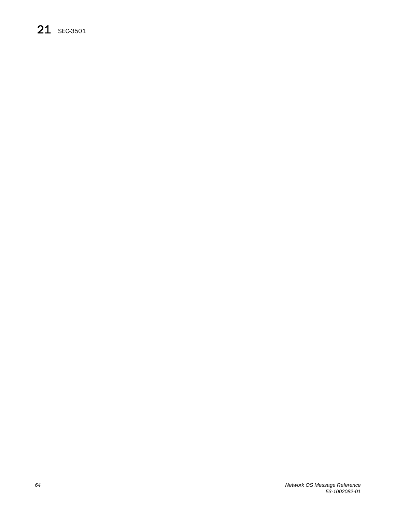21 SEC-3501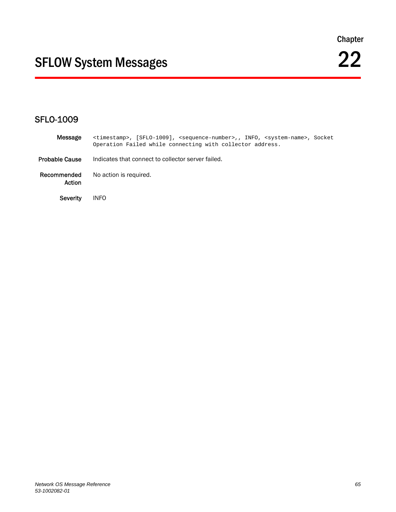#### SFLO-1009

| Message               | <timestamp>, [SFLO-1009], <sequence-number>,, INFO, <system-name>, Socket<br/>Operation Failed while connecting with collector address.</system-name></sequence-number></timestamp> |
|-----------------------|-------------------------------------------------------------------------------------------------------------------------------------------------------------------------------------|
| Probable Cause        | Indicates that connect to collector server failed.                                                                                                                                  |
| Recommended<br>Action | No action is required.                                                                                                                                                              |
| Severity              | <b>INFO</b>                                                                                                                                                                         |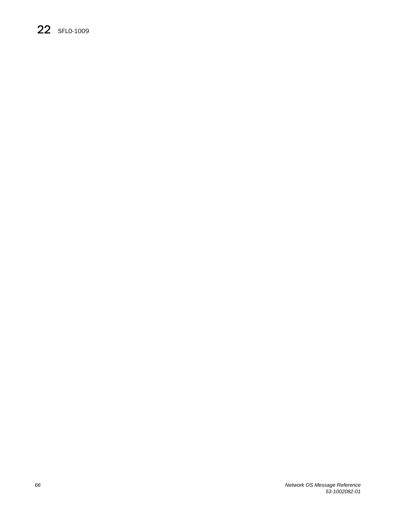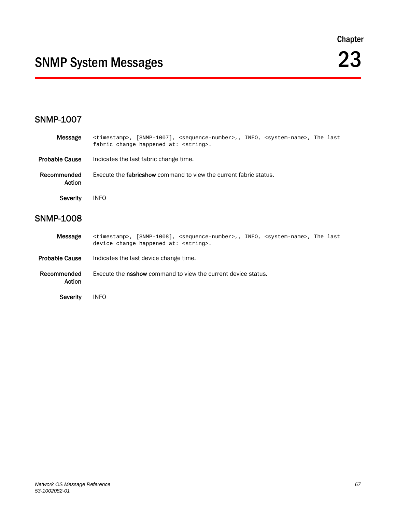#### SNMP-1007

| Message               | <timestamp>, [SNMP-1007], <sequence-number>,, INFO, <system-name>, The last<br/>fabric change happened at: <string>.</string></system-name></sequence-number></timestamp> |
|-----------------------|---------------------------------------------------------------------------------------------------------------------------------------------------------------------------|
| <b>Probable Cause</b> | Indicates the last fabric change time.                                                                                                                                    |
| Recommended<br>Action | Execute the <b>fabricshow</b> command to view the current fabric status.                                                                                                  |
| <b>Severity</b>       | <b>INFO</b>                                                                                                                                                               |
| <b>SNMP-1008</b>      |                                                                                                                                                                           |
| Message               | <timestamp>, [SNMP-1008], <sequence-number>,, INFO, <system-name>, The last<br/>device change happened at: <string>.</string></system-name></sequence-number></timestamp> |
| <b>Probable Cause</b> | Indicates the last device change time.                                                                                                                                    |
| Recommended<br>Action | Execute the <b>nsshow</b> command to view the current device status.                                                                                                      |
| <b>Severity</b>       | <b>INFO</b>                                                                                                                                                               |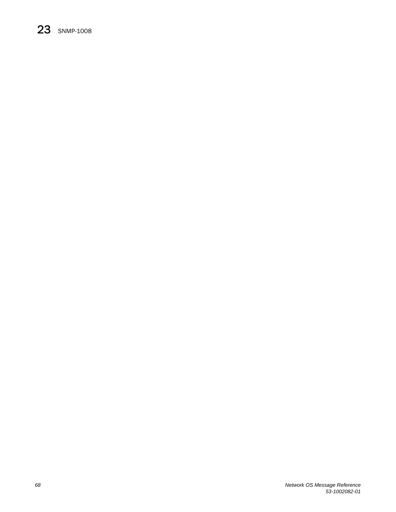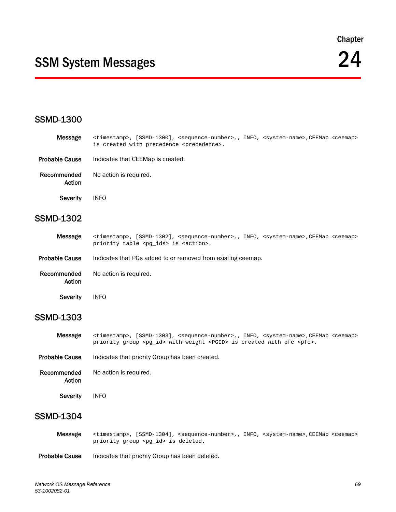#### SSMD-1300

| Message               | <timestamp>, [SSMD-1300], <sequence-number>,, INFO, <system-name>, CEEMap <ceemap><br/>is created with precedence <precedence>.</precedence></ceemap></system-name></sequence-number></timestamp>                                     |
|-----------------------|---------------------------------------------------------------------------------------------------------------------------------------------------------------------------------------------------------------------------------------|
| <b>Probable Cause</b> | Indicates that CEEMap is created.                                                                                                                                                                                                     |
| Recommended<br>Action | No action is required.                                                                                                                                                                                                                |
| <b>Severity</b>       | <b>INFO</b>                                                                                                                                                                                                                           |
| <b>SSMD-1302</b>      |                                                                                                                                                                                                                                       |
| Message               | <timestamp>, [SSMD-1302], <sequence-number>,, INFO, <system-name>, CEEMap <ceemap><br/>priority table <pg_ids> is <action>.</action></pg_ids></ceemap></system-name></sequence-number></timestamp>                                    |
| <b>Probable Cause</b> | Indicates that PGs added to or removed from existing ceemap.                                                                                                                                                                          |
| Recommended<br>Action | No action is required.                                                                                                                                                                                                                |
| <b>Severity</b>       | <b>INFO</b>                                                                                                                                                                                                                           |
| <b>SSMD-1303</b>      |                                                                                                                                                                                                                                       |
| Message               | <timestamp>, [SSMD-1303], <sequence-number>,, INFO, <system-name>, CEEMap <ceemap><br/>priority group <pg_id> with weight <pgid> is created with pfc <pfc>.</pfc></pgid></pg_id></ceemap></system-name></sequence-number></timestamp> |
| <b>Probable Cause</b> | Indicates that priority Group has been created.                                                                                                                                                                                       |
| Recommended<br>Action | No action is required.                                                                                                                                                                                                                |
| <b>Severity</b>       | <b>INFO</b>                                                                                                                                                                                                                           |
| <b>SSMD-1304</b>      |                                                                                                                                                                                                                                       |
| Message               | <timestamp>, [SSMD-1304], <sequence-number>,, INFO, <system-name>, CEEMap <ceemap><br/>priority group <pg_id> is deleted.</pg_id></ceemap></system-name></sequence-number></timestamp>                                                |
| <b>Probable Cause</b> | Indicates that priority Group has been deleted.                                                                                                                                                                                       |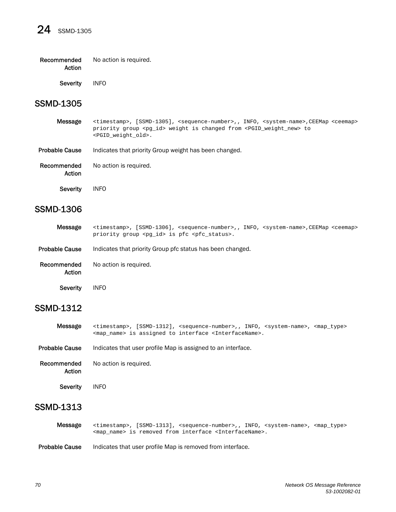| Recommended | No action is required. |  |
|-------------|------------------------|--|
| Action      |                        |  |

Severity INFO

#### SSMD-1305

Message <timestamp>, [SSMD-1305], <sequence-number>,, INFO, <system-name>, CEEMap <ceemap> priority group <pg\_id> weight is changed from <PGID\_weight\_new> to <PGID\_weight\_old>.

Probable Cause Indicates that priority Group weight has been changed.

Recommended Action No action is required.

Severity INFO

#### SSMD-1306

- Message <timestamp>, [SSMD-1306], <sequence-number>,, INFO, <system-name>, CEEMap <ceemap> priority group <pg\_id> is pfc <pfc\_status>.
- Probable Cause Indicates that priority Group pfc status has been changed.

Recommended Action No action is required.

Severity INFO

#### SSMD-1312

Message <timestamp>, [SSMD-1312], <sequence-number>,, INFO, <system-name>, <map\_type> <map\_name> is assigned to interface <InterfaceName>.

Probable Cause Indicates that user profile Map is assigned to an interface.

Recommended Action No action is required.

Severity INFO

#### SSMD-1313

Message <timestamp>, [SSMD-1313], <sequence-number>,, INFO, <system-name>, <map\_type> <map\_name> is removed from interface <InterfaceName>.

Probable Cause Indicates that user profile Map is removed from interface.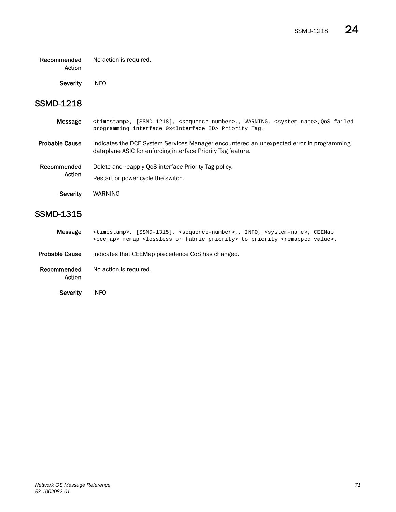| Recommended | No action is required. |
|-------------|------------------------|
| Action      |                        |

Severity INFO

#### SSMD-1218

- Message <timestamp>, [SSMD-1218], <sequence-number>,, WARNING, <system-name>,QoS failed programming interface 0x<Interface ID> Priority Tag.
- Probable Cause Indicates the DCE System Services Manager encountered an unexpected error in programming dataplane ASIC for enforcing interface Priority Tag feature.

Recommended Action Delete and reapply QoS interface Priority Tag policy.

Restart or power cycle the switch.

Severity WARNING

#### SSMD-1315

| Message               | <timestamp>, [SSMD-1315], <sequence-number>,, INFO, <system-name>, CEEMap<br/><ceemap> remap <lossless fabric="" or="" priority=""> to priority <remapped value="">.</remapped></lossless></ceemap></system-name></sequence-number></timestamp> |
|-----------------------|-------------------------------------------------------------------------------------------------------------------------------------------------------------------------------------------------------------------------------------------------|
| <b>Probable Cause</b> | Indicates that CEEMap precedence CoS has changed.                                                                                                                                                                                               |
| Recommended<br>Action | No action is required.                                                                                                                                                                                                                          |
| Severity              | <b>INFO</b>                                                                                                                                                                                                                                     |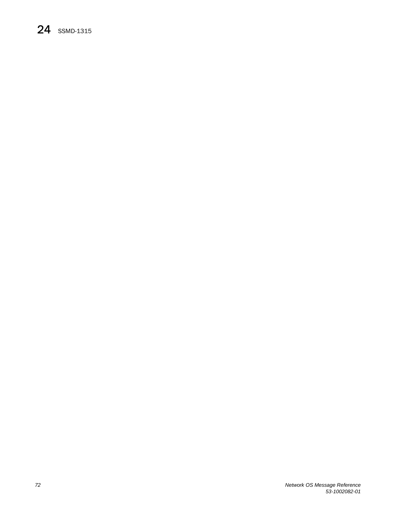#### 24 SSMD-1315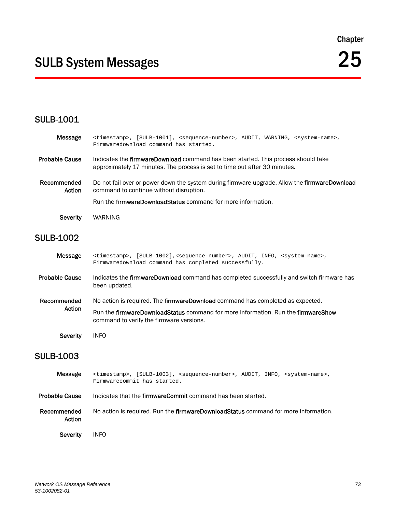#### SULB-1001

| Message               | <timestamp>, [SULB-1001], <sequence-number>, AUDIT, WARNING, <system-name>,<br/>Firmwaredownload command has started.</system-name></sequence-number></timestamp>             |
|-----------------------|-------------------------------------------------------------------------------------------------------------------------------------------------------------------------------|
| <b>Probable Cause</b> | Indicates the firmwareDownload command has been started. This process should take<br>approximately 17 minutes. The process is set to time out after 30 minutes.               |
| Recommended<br>Action | Do not fail over or power down the system during firmware upgrade. Allow the firmwareDownload<br>command to continue without disruption.                                      |
|                       | Run the firmwareDownloadStatus command for more information.                                                                                                                  |
| <b>Severity</b>       | <b>WARNING</b>                                                                                                                                                                |
| <b>SULB-1002</b>      |                                                                                                                                                                               |
| Message               | <timestamp>, [SULB-1002], <sequence-number>, AUDIT, INFO, <system-name>,<br/>Firmwaredownload command has completed successfully.</system-name></sequence-number></timestamp> |
| <b>Probable Cause</b> | Indicates the firmwareDownload command has completed successfully and switch firmware has<br>been updated.                                                                    |
| Recommended           | No action is required. The firmwareDownload command has completed as expected.                                                                                                |
| Action                | Run the firmwareDownloadStatus command for more information. Run the firmwareShow<br>command to verify the firmware versions.                                                 |
| <b>Severity</b>       | <b>INFO</b>                                                                                                                                                                   |
| <b>SULB-1003</b>      |                                                                                                                                                                               |
| Message               | <timestamp>, [SULB-1003], <sequence-number>, AUDIT, INFO, <system-name>,<br/>Firmwarecommit has started.</system-name></sequence-number></timestamp>                          |
| <b>Probable Cause</b> | Indicates that the firmwareCommit command has been started.                                                                                                                   |
| Recommended<br>Action | No action is required. Run the firmwareDownloadStatus command for more information.                                                                                           |
| <b>Severity</b>       | <b>INFO</b>                                                                                                                                                                   |
|                       |                                                                                                                                                                               |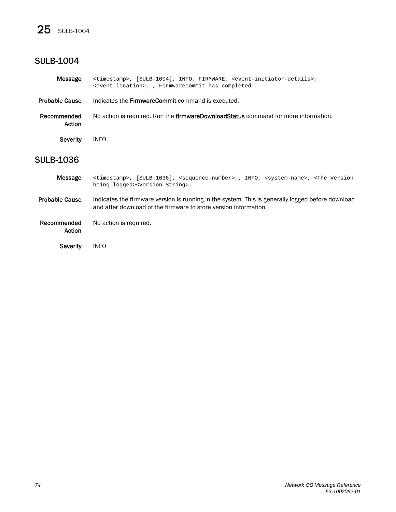#### 25 SULB-1004

#### SULB-1004

| Message               | <timestamp>, [SULB-1004], INFO, FIRMWARE, <event-initiator-details>,<br/><event-location>, , Firmwarecommit has completed.</event-location></event-initiator-details></timestamp>      |
|-----------------------|----------------------------------------------------------------------------------------------------------------------------------------------------------------------------------------|
| <b>Probable Cause</b> | Indicates the <b>FirmwareCommit</b> command is executed.                                                                                                                               |
| Recommended<br>Action | No action is required. Run the firmwareDownloadStatus command for more information.                                                                                                    |
| <b>Severity</b>       | <b>INFO</b>                                                                                                                                                                            |
| <b>SULB-1036</b>      |                                                                                                                                                                                        |
| Message               | <timestamp>, [SULB-1036], <sequence-number>,, INFO, <system-name>, <the version<br="">being logged&gt;<version string="">.</version></the></system-name></sequence-number></timestamp> |
| <b>Probable Cause</b> | Indicates the firmware version is running in the system. This is generally logged before download<br>and after download of the firmware to store version information.                  |
| Recommended<br>Action | No action is required.                                                                                                                                                                 |
| <b>Severity</b>       | <b>INFO</b>                                                                                                                                                                            |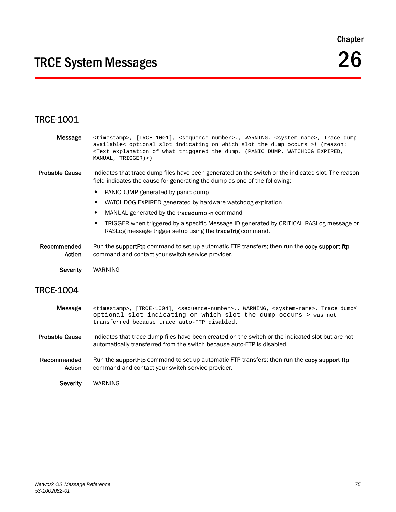## TRCE System Messages 26

#### TRCE-1001

| Message               | <timestamp>, [TRCE-1001], <sequence-number>,, WARNING, <system-name>, Trace dump<br/>available&lt; optional slot indicating on which slot the dump occurs &gt;! (reason:<br/><text (panic="" dump,="" dump.="" expired,<br="" explanation="" of="" the="" triggered="" watchdog="" what="">MANUAL, TRIGGER) &gt; )</text></system-name></sequence-number></timestamp> |
|-----------------------|-----------------------------------------------------------------------------------------------------------------------------------------------------------------------------------------------------------------------------------------------------------------------------------------------------------------------------------------------------------------------|
| <b>Probable Cause</b> | Indicates that trace dump files have been generated on the switch or the indicated slot. The reason<br>field indicates the cause for generating the dump as one of the following:                                                                                                                                                                                     |
|                       | PANICDUMP generated by panic dump                                                                                                                                                                                                                                                                                                                                     |
|                       | WATCHDOG EXPIRED generated by hardware watchdog expiration<br>٠                                                                                                                                                                                                                                                                                                       |
|                       | MANUAL generated by the tracedump -n command                                                                                                                                                                                                                                                                                                                          |
|                       | TRIGGER when triggered by a specific Message ID generated by CRITICAL RASLog message or<br>RASLog message trigger setup using the traceTrig command.                                                                                                                                                                                                                  |
| Recommended<br>Action | Run the supportFtp command to set up automatic FTP transfers; then run the copy support ftp<br>command and contact your switch service provider.                                                                                                                                                                                                                      |
| <b>Severity</b>       | WARNING                                                                                                                                                                                                                                                                                                                                                               |
| <b>TRCE-1004</b>      |                                                                                                                                                                                                                                                                                                                                                                       |
| Message               | <timestamp>, [TRCE-1004], <sequence-number>,, WARNING, <system-name>, Trace dump&lt;</system-name></sequence-number></timestamp>                                                                                                                                                                                                                                      |
|                       | optional slot indicating on which slot the dump occurs > was not<br>transferred because trace auto-FTP disabled.                                                                                                                                                                                                                                                      |
| <b>Probable Cause</b> | Indicates that trace dump files have been created on the switch or the indicated slot but are not<br>automatically transferred from the switch because auto-FTP is disabled.                                                                                                                                                                                          |
| Recommended<br>Action | Run the supportFtp command to set up automatic FTP transfers; then run the copy support ftp<br>command and contact your switch service provider.                                                                                                                                                                                                                      |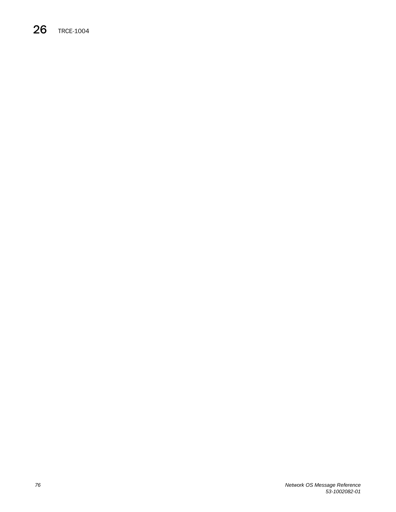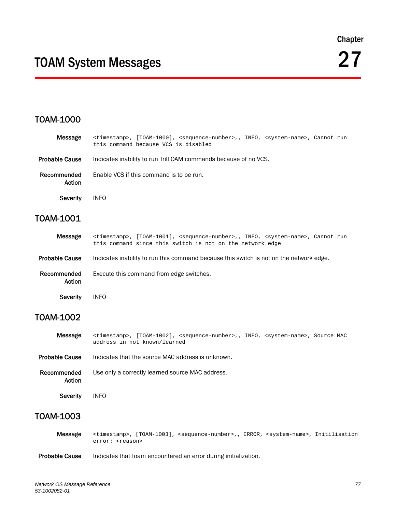#### TOAM-1000

| Message               | <timestamp>, [TOAM-1000], <sequence-number>,, INFO, <system-name>, Cannot run<br/>this command because VCS is disabled</system-name></sequence-number></timestamp>                      |
|-----------------------|-----------------------------------------------------------------------------------------------------------------------------------------------------------------------------------------|
| <b>Probable Cause</b> | Indicates inability to run Trill OAM commands because of no VCS.                                                                                                                        |
| Recommended<br>Action | Enable VCS if this command is to be run.                                                                                                                                                |
| <b>Severity</b>       | <b>INFO</b>                                                                                                                                                                             |
| TOAM-1001             |                                                                                                                                                                                         |
| Message               | <timestamp>, [TOAM-1001], <sequence-number>,, INFO, <system-name>, Cannot run<br/>this command since this switch is not on the network edge</system-name></sequence-number></timestamp> |
| <b>Probable Cause</b> | Indicates inability to run this command because this switch is not on the network edge.                                                                                                 |

Recommended Action Execute this command from edge switches.

Severity INFO

#### TOAM-1002

- Message <timestamp>, [TOAM-1002], <sequence-number>,, INFO, <system-name>, Source MAC address in not known/learned
- **Probable Cause** Indicates that the source MAC address is unknown.
- Recommended Action Use only a correctly learned source MAC address.
	- Severity INFO

#### TOAM-1003

Message <timestamp>, [TOAM-1003], <sequence-number>,, ERROR, <system-name>, Initilisation error: <reason>

Probable Cause Indicates that toam encountered an error during initialization.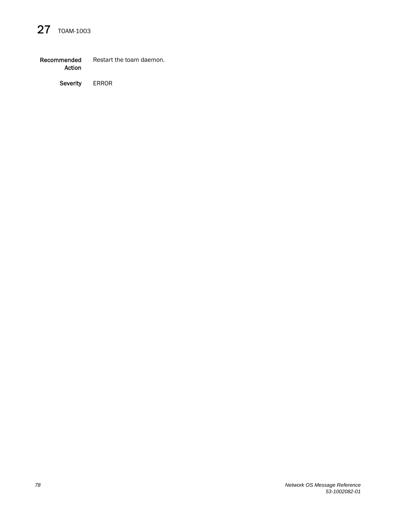#### 27 TOAM-1003

| Recommended<br>Action | Restart the toam daemon. |
|-----------------------|--------------------------|
| Severity ERROR        |                          |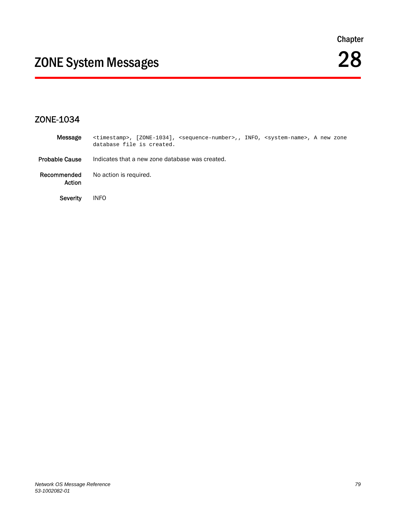#### ZONE-1034

| Message               | <timestamp>, [ZONE-1034], <sequence-number>,, INFO, <system-name>, A new zone<br/>database file is created.</system-name></sequence-number></timestamp> |
|-----------------------|---------------------------------------------------------------------------------------------------------------------------------------------------------|
| <b>Probable Cause</b> | Indicates that a new zone database was created.                                                                                                         |
| Recommended<br>Action | No action is required.                                                                                                                                  |
| <b>Severity</b>       | <b>INFO</b>                                                                                                                                             |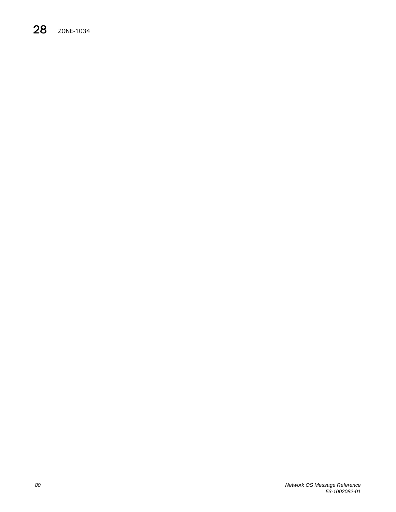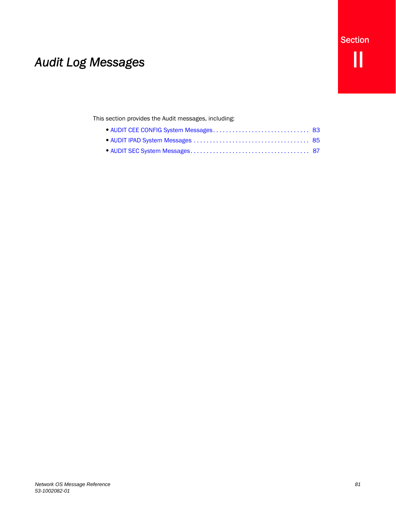# **Section**

### **Audit Log Messages III**

This section provides the Audit messages, including: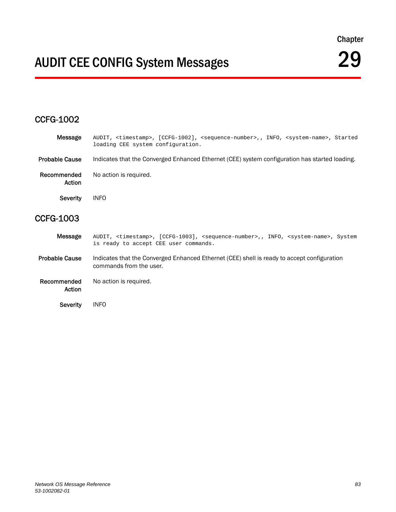#### <span id="page-96-0"></span>CCFG-1002

| Message               | AUDIT, <timestamp>, [CCFG-1002], <sequence-number>,, INFO, <system-name>, Started<br/>loading CEE system configuration.</system-name></sequence-number></timestamp>    |
|-----------------------|------------------------------------------------------------------------------------------------------------------------------------------------------------------------|
| <b>Probable Cause</b> | Indicates that the Converged Enhanced Ethernet (CEE) system configuration has started loading.                                                                         |
| Recommended<br>Action | No action is required.                                                                                                                                                 |
| <b>Severity</b>       | <b>INFO</b>                                                                                                                                                            |
| <b>CCFG-1003</b>      |                                                                                                                                                                        |
| Message               | AUDIT, <timestamp>, [CCFG-1003], <sequence-number>,, INFO, <system-name>, System<br/>is ready to accept CEE user commands.</system-name></sequence-number></timestamp> |
| <b>Probable Cause</b> | Indicates that the Converged Enhanced Ethernet (CEE) shell is ready to accept configuration<br>commands from the user.                                                 |
| Recommended<br>Action | No action is required.                                                                                                                                                 |
| <b>Severity</b>       | <b>INFO</b>                                                                                                                                                            |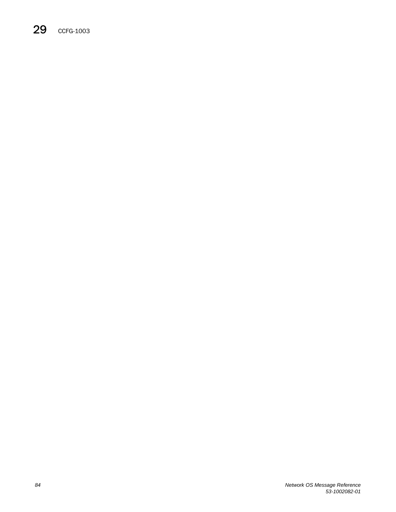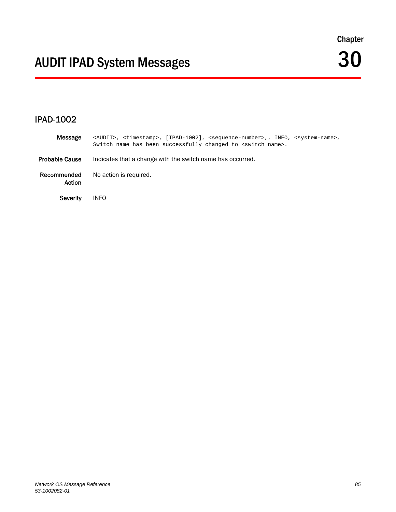**Chapter** 

## <span id="page-98-0"></span>AUDIT IPAD System Messages 30

#### IPAD-1002

| Message               | <audit>, <timestamp>, [IPAD-1002], <sequence-number>,, INFO, <system-name>,<br/>Switch name has been successfully changed to <switch name="">.</switch></system-name></sequence-number></timestamp></audit> |
|-----------------------|-------------------------------------------------------------------------------------------------------------------------------------------------------------------------------------------------------------|
| <b>Probable Cause</b> | Indicates that a change with the switch name has occurred.                                                                                                                                                  |
| Recommended<br>Action | No action is required.                                                                                                                                                                                      |
| Severity              | <b>INFO</b>                                                                                                                                                                                                 |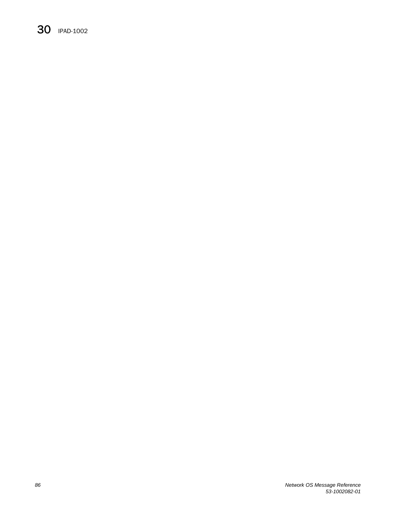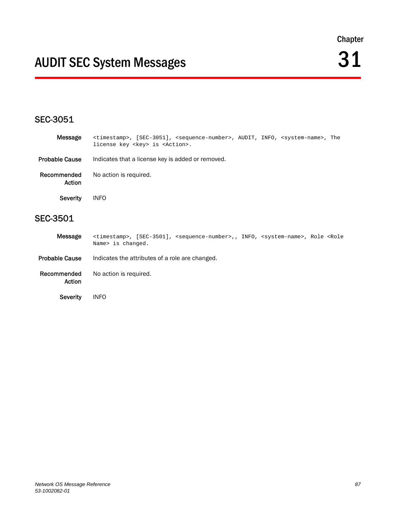**Chapter** 

#### <span id="page-100-0"></span>SEC-3051

| Message               | <timestamp>, [SEC-3051], <sequence-number>, AUDIT, INFO, <system-name>, The<br/>license key &lt; key&gt; is &lt; Action&gt;.</system-name></sequence-number></timestamp> |
|-----------------------|--------------------------------------------------------------------------------------------------------------------------------------------------------------------------|
| <b>Probable Cause</b> | Indicates that a license key is added or removed.                                                                                                                        |
| Recommended<br>Action | No action is required.                                                                                                                                                   |
| <b>Severity</b>       | <b>INFO</b>                                                                                                                                                              |
| SEC-3501              |                                                                                                                                                                          |
| Message               | <timestamp>, [SEC-3501], <sequence-number>,, INFO, <system-name>, Role <role<br>Name&gt; is changed.</role<br></system-name></sequence-number></timestamp>               |
| <b>Probable Cause</b> | Indicates the attributes of a role are changed.                                                                                                                          |
| Recommended<br>Action | No action is required.                                                                                                                                                   |

Severity INFO